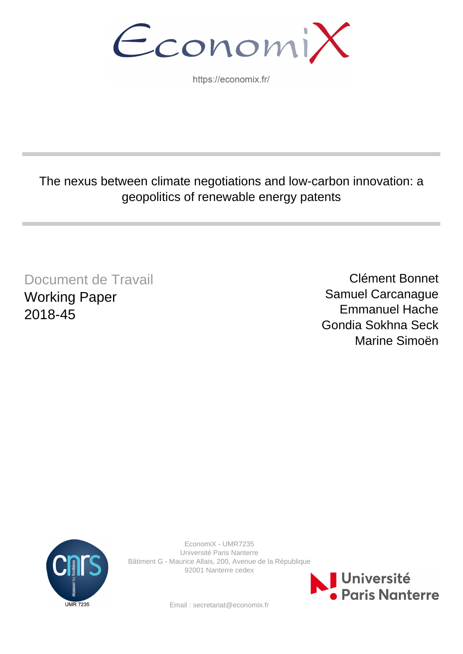EconomiX

https://economix.fr/

# The nexus between climate negotiations and low-carbon innovation: a geopolitics of renewable energy patents

Document de Travail Working Paper 2018-45

Clément Bonnet Samuel Carcanague Emmanuel Hache Gondia Sokhna Seck Marine Simoën



EconomiX - UMR7235 Université Paris Nanterre Bâtiment G - Maurice Allais, 200, Avenue de la République 92001 Nanterre cedex



Email : secretariat@economix.fr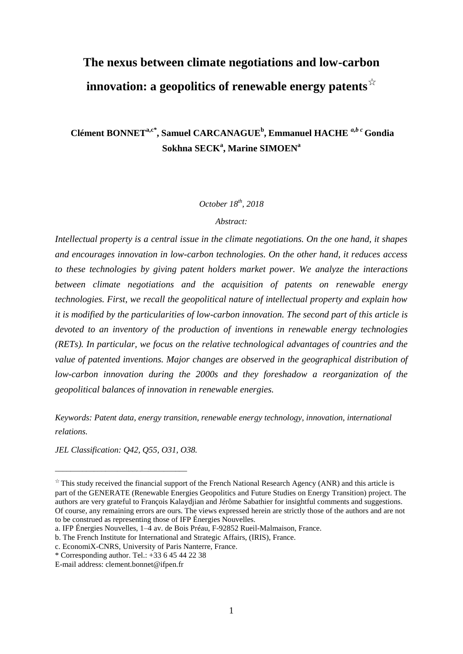# **The nexus between climate negotiations and low-carbon innovation: a geopolitics of renewable energy patents**☆

**Clément BONNETa,c***\** **, Samuel CARCANAGUE<sup>b</sup> , Emmanuel HACHE** *a,b c* **Gondia Sokhna SECK<sup>a</sup> , Marine SIMOEN<sup>a</sup>**

*October 18th , 2018*

*Abstract:*

*Intellectual property is a central issue in the climate negotiations. On the one hand, it shapes and encourages innovation in low-carbon technologies. On the other hand, it reduces access to these technologies by giving patent holders market power. We analyze the interactions between climate negotiations and the acquisition of patents on renewable energy technologies. First, we recall the geopolitical nature of intellectual property and explain how it is modified by the particularities of low-carbon innovation. The second part of this article is devoted to an inventory of the production of inventions in renewable energy technologies (RETs). In particular, we focus on the relative technological advantages of countries and the value of patented inventions. Major changes are observed in the geographical distribution of low-carbon innovation during the 2000s and they foreshadow a reorganization of the geopolitical balances of innovation in renewable energies.*

*Keywords: Patent data, energy transition, renewable energy technology, innovation, international relations.*

*JEL Classification: Q42, Q55, O31, O38.*

\_\_\_\_\_\_\_\_\_\_\_\_\_\_\_\_\_\_\_\_\_\_\_\_\_\_\_\_\_\_\_\_\_\_

 $\dot{\gamma}$  This study received the financial support of the French National Research Agency (ANR) and this article is part of the GENERATE (Renewable Energies Geopolitics and Future Studies on Energy Transition) project. The authors are very grateful to François Kalaydjian and Jérôme Sabathier for insightful comments and suggestions. Of course, any remaining errors are ours. The views expressed herein are strictly those of the authors and are not to be construed as representing those of IFP Énergies Nouvelles.

a. IFP Énergies Nouvelles, 1–4 av. de Bois Préau, F-92852 Rueil-Malmaison, France.

b. The French Institute for International and Strategic Affairs, (IRIS), France.

c. EconomiX-CNRS, University of Paris Nanterre, France.

<sup>\*</sup> Corresponding author. Tel.: +33 6 45 44 22 38

E-mail address: clement.bonnet@ifpen.fr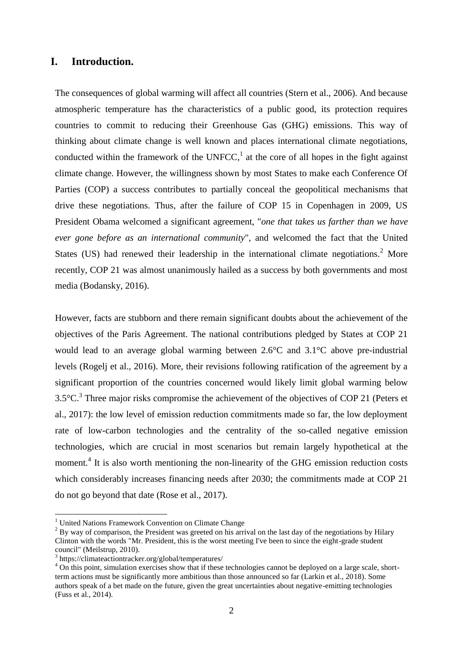# **I. Introduction.**

The consequences of global warming will affect all countries (Stern et al., 2006). And because atmospheric temperature has the characteristics of a public good, its protection requires countries to commit to reducing their Greenhouse Gas (GHG) emissions. This way of thinking about climate change is well known and places international climate negotiations, conducted within the framework of the UNFCC, $<sup>1</sup>$  at the core of all hopes in the fight against</sup> climate change. However, the willingness shown by most States to make each Conference Of Parties (COP) a success contributes to partially conceal the geopolitical mechanisms that drive these negotiations. Thus, after the failure of COP 15 in Copenhagen in 2009, US President Obama welcomed a significant agreement, "*one that takes us farther than we have ever gone before as an international community*", and welcomed the fact that the United States (US) had renewed their leadership in the international climate negotiations.<sup>2</sup> More recently, COP 21 was almost unanimously hailed as a success by both governments and most media (Bodansky, 2016).

However, facts are stubborn and there remain significant doubts about the achievement of the objectives of the Paris Agreement. The national contributions pledged by States at COP 21 would lead to an average global warming between 2.6°C and 3.1°C above pre-industrial levels (Rogelj et al., 2016). More, their revisions following ratification of the agreement by a significant proportion of the countries concerned would likely limit global warming below  $3.5^{\circ}$ C.<sup>3</sup> Three major risks compromise the achievement of the objectives of COP 21 (Peters et al., 2017): the low level of emission reduction commitments made so far, the low deployment rate of low-carbon technologies and the centrality of the so-called negative emission technologies, which are crucial in most scenarios but remain largely hypothetical at the moment.<sup>4</sup> It is also worth mentioning the non-linearity of the GHG emission reduction costs which considerably increases financing needs after 2030; the commitments made at COP 21 do not go beyond that date (Rose et al., 2017).

<sup>&</sup>lt;sup>1</sup> United Nations Framework Convention on Climate Change

<sup>&</sup>lt;sup>2</sup> By way of comparison, the President was greeted on his arrival on the last day of the negotiations by Hilary Clinton with the words "Mr. President, this is the worst meeting I've been to since the eight-grade student council" (Meilstrup, 2010).

<sup>3</sup> https://climateactiontracker.org/global/temperatures/

<sup>&</sup>lt;sup>4</sup> On this point, simulation exercises show that if these technologies cannot be deployed on a large scale, shortterm actions must be significantly more ambitious than those announced so far (Larkin et al., 2018). Some authors speak of a bet made on the future, given the great uncertainties about negative-emitting technologies (Fuss et al., 2014).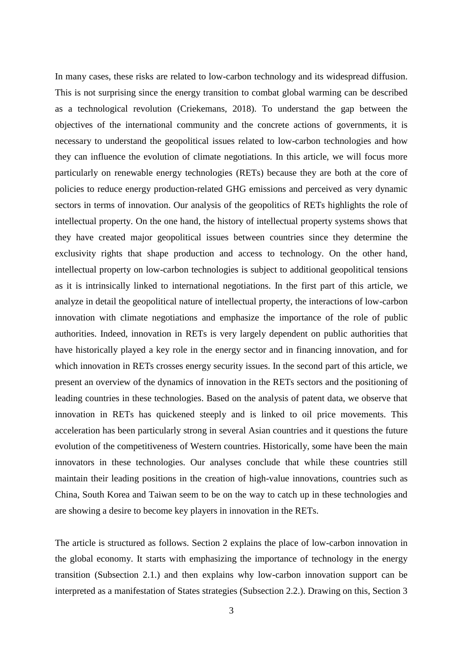In many cases, these risks are related to low-carbon technology and its widespread diffusion. This is not surprising since the energy transition to combat global warming can be described as a technological revolution (Criekemans, 2018). To understand the gap between the objectives of the international community and the concrete actions of governments, it is necessary to understand the geopolitical issues related to low-carbon technologies and how they can influence the evolution of climate negotiations. In this article, we will focus more particularly on renewable energy technologies (RETs) because they are both at the core of policies to reduce energy production-related GHG emissions and perceived as very dynamic sectors in terms of innovation. Our analysis of the geopolitics of RETs highlights the role of intellectual property. On the one hand, the history of intellectual property systems shows that they have created major geopolitical issues between countries since they determine the exclusivity rights that shape production and access to technology. On the other hand, intellectual property on low-carbon technologies is subject to additional geopolitical tensions as it is intrinsically linked to international negotiations. In the first part of this article, we analyze in detail the geopolitical nature of intellectual property, the interactions of low-carbon innovation with climate negotiations and emphasize the importance of the role of public authorities. Indeed, innovation in RETs is very largely dependent on public authorities that have historically played a key role in the energy sector and in financing innovation, and for which innovation in RETs crosses energy security issues. In the second part of this article, we present an overview of the dynamics of innovation in the RETs sectors and the positioning of leading countries in these technologies. Based on the analysis of patent data, we observe that innovation in RETs has quickened steeply and is linked to oil price movements. This acceleration has been particularly strong in several Asian countries and it questions the future evolution of the competitiveness of Western countries. Historically, some have been the main innovators in these technologies. Our analyses conclude that while these countries still maintain their leading positions in the creation of high-value innovations, countries such as China, South Korea and Taiwan seem to be on the way to catch up in these technologies and are showing a desire to become key players in innovation in the RETs.

The article is structured as follows. Section 2 explains the place of low-carbon innovation in the global economy. It starts with emphasizing the importance of technology in the energy transition (Subsection 2.1.) and then explains why low-carbon innovation support can be interpreted as a manifestation of States strategies (Subsection 2.2.). Drawing on this, Section 3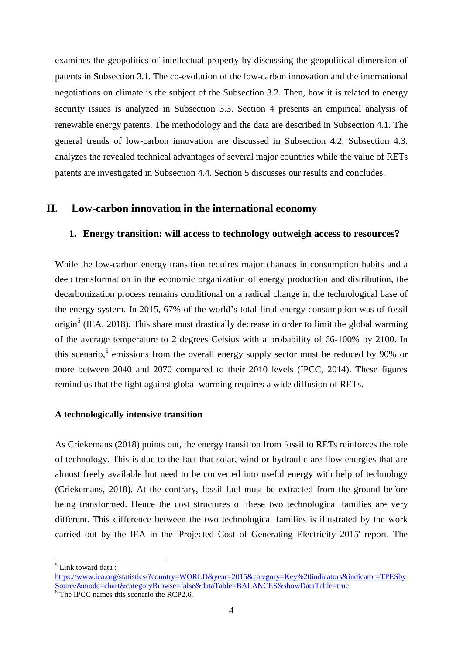examines the geopolitics of intellectual property by discussing the geopolitical dimension of patents in Subsection 3.1. The co-evolution of the low-carbon innovation and the international negotiations on climate is the subject of the Subsection 3.2. Then, how it is related to energy security issues is analyzed in Subsection 3.3. Section 4 presents an empirical analysis of renewable energy patents. The methodology and the data are described in Subsection 4.1. The general trends of low-carbon innovation are discussed in Subsection 4.2. Subsection 4.3. analyzes the revealed technical advantages of several major countries while the value of RETs patents are investigated in Subsection 4.4. Section 5 discusses our results and concludes.

# **II. Low-carbon innovation in the international economy**

# **1. Energy transition: will access to technology outweigh access to resources?**

While the low-carbon energy transition requires major changes in consumption habits and a deep transformation in the economic organization of energy production and distribution, the decarbonization process remains conditional on a radical change in the technological base of the energy system. In 2015, 67% of the world's total final energy consumption was of fossil origin<sup>5</sup> (IEA, 2018). This share must drastically decrease in order to limit the global warming of the average temperature to 2 degrees Celsius with a probability of 66-100% by 2100. In this scenario,<sup>6</sup> emissions from the overall energy supply sector must be reduced by 90% or more between 2040 and 2070 compared to their 2010 levels (IPCC, 2014). These figures remind us that the fight against global warming requires a wide diffusion of RETs.

# **A technologically intensive transition**

As Criekemans (2018) points out, the energy transition from fossil to RETs reinforces the role of technology. This is due to the fact that solar, wind or hydraulic are flow energies that are almost freely available but need to be converted into useful energy with help of technology (Criekemans, 2018). At the contrary, fossil fuel must be extracted from the ground before being transformed. Hence the cost structures of these two technological families are very different. This difference between the two technological families is illustrated by the work carried out by the IEA in the 'Projected Cost of Generating Electricity 2015' report. The

<sup>5</sup> Link toward data :

[https://www.iea.org/statistics/?country=WORLD&year=2015&category=Key%20indicators&indicator=TPESby](https://www.iea.org/statistics/?country=WORLD&year=2015&category=Key%20indicators&indicator=TPESbySource&mode=chart&categoryBrowse=false&dataTable=BALANCES&showDataTable=true) [Source&mode=chart&categoryBrowse=false&dataTable=BALANCES&showDataTable=true](https://www.iea.org/statistics/?country=WORLD&year=2015&category=Key%20indicators&indicator=TPESbySource&mode=chart&categoryBrowse=false&dataTable=BALANCES&showDataTable=true)

 $\frac{6}{6}$  The IPCC names this scenario the RCP2.6.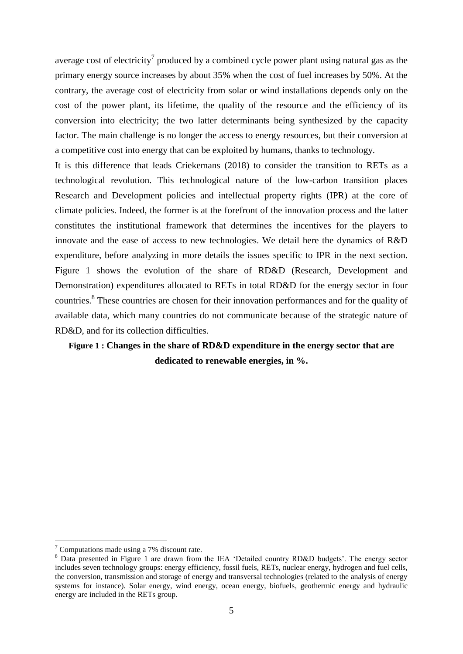average cost of electricity<sup>7</sup> produced by a combined cycle power plant using natural gas as the primary energy source increases by about 35% when the cost of fuel increases by 50%. At the contrary, the average cost of electricity from solar or wind installations depends only on the cost of the power plant, its lifetime, the quality of the resource and the efficiency of its conversion into electricity; the two latter determinants being synthesized by the capacity factor. The main challenge is no longer the access to energy resources, but their conversion at a competitive cost into energy that can be exploited by humans, thanks to technology.

It is this difference that leads Criekemans (2018) to consider the transition to RETs as a technological revolution. This technological nature of the low-carbon transition places Research and Development policies and intellectual property rights (IPR) at the core of climate policies. Indeed, the former is at the forefront of the innovation process and the latter constitutes the institutional framework that determines the incentives for the players to innovate and the ease of access to new technologies. We detail here the dynamics of R&D expenditure, before analyzing in more details the issues specific to IPR in the next section. Figure 1 shows the evolution of the share of RD&D (Research, Development and Demonstration) expenditures allocated to RETs in total RD&D for the energy sector in four countries. 8 These countries are chosen for their innovation performances and for the quality of available data, which many countries do not communicate because of the strategic nature of RD&D, and for its collection difficulties.

# **Figure 1 : Changes in the share of RD&D expenditure in the energy sector that are dedicated to renewable energies, in %.**

<u>.</u>

 $\frac{7}{7}$  Computations made using a 7% discount rate.

<sup>&</sup>lt;sup>8</sup> Data presented in Figure 1 are drawn from the IEA 'Detailed country RD&D budgets'. The energy sector includes seven technology groups: energy efficiency, fossil fuels, RETs, nuclear energy, hydrogen and fuel cells, the conversion, transmission and storage of energy and transversal technologies (related to the analysis of energy systems for instance). Solar energy, wind energy, ocean energy, biofuels, geothermic energy and hydraulic energy are included in the RETs group.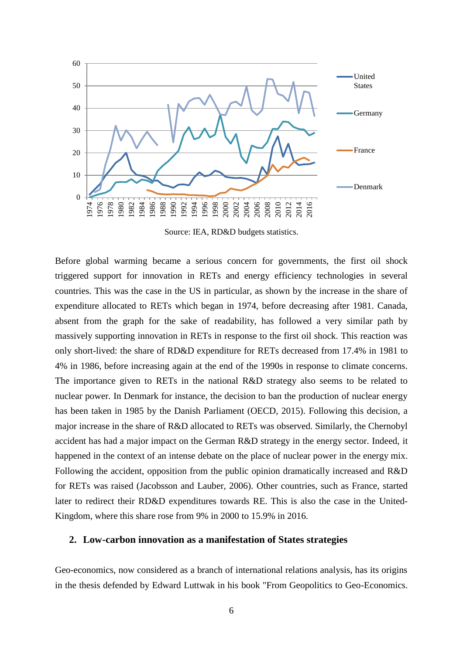

Source: IEA, RD&D budgets statistics.

Before global warming became a serious concern for governments, the first oil shock triggered support for innovation in RETs and energy efficiency technologies in several countries. This was the case in the US in particular, as shown by the increase in the share of expenditure allocated to RETs which began in 1974, before decreasing after 1981. Canada, absent from the graph for the sake of readability, has followed a very similar path by massively supporting innovation in RETs in response to the first oil shock. This reaction was only short-lived: the share of RD&D expenditure for RETs decreased from 17.4% in 1981 to 4% in 1986, before increasing again at the end of the 1990s in response to climate concerns. The importance given to RETs in the national R&D strategy also seems to be related to nuclear power. In Denmark for instance, the decision to ban the production of nuclear energy has been taken in 1985 by the Danish Parliament (OECD, 2015). Following this decision, a major increase in the share of R&D allocated to RETs was observed. Similarly, the Chernobyl accident has had a major impact on the German R&D strategy in the energy sector. Indeed, it happened in the context of an intense debate on the place of nuclear power in the energy mix. Following the accident, opposition from the public opinion dramatically increased and R&D for RETs was raised (Jacobsson and Lauber, 2006). Other countries, such as France, started later to redirect their RD&D expenditures towards RE. This is also the case in the United-Kingdom, where this share rose from 9% in 2000 to 15.9% in 2016.

# **2. Low-carbon innovation as a manifestation of States strategies**

Geo-economics, now considered as a branch of international relations analysis, has its origins in the thesis defended by Edward Luttwak in his book "From Geopolitics to Geo-Economics.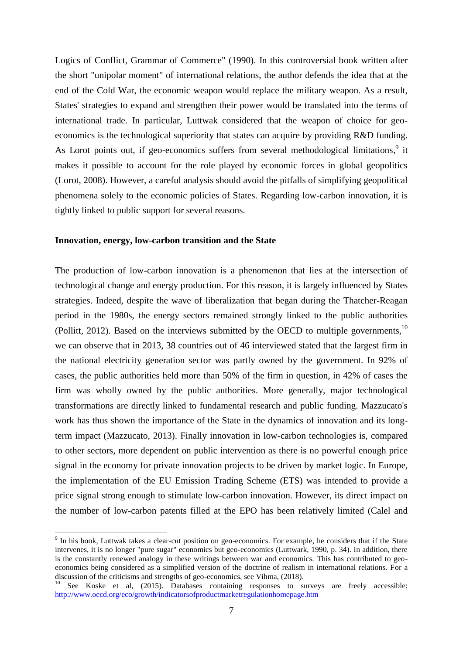Logics of Conflict, Grammar of Commerce" (1990). In this controversial book written after the short "unipolar moment" of international relations, the author defends the idea that at the end of the Cold War, the economic weapon would replace the military weapon. As a result, States' strategies to expand and strengthen their power would be translated into the terms of international trade. In particular, Luttwak considered that the weapon of choice for geoeconomics is the technological superiority that states can acquire by providing R&D funding. As Lorot points out, if geo-economics suffers from several methodological limitations,<sup>9</sup> it makes it possible to account for the role played by economic forces in global geopolitics (Lorot, 2008). However, a careful analysis should avoid the pitfalls of simplifying geopolitical phenomena solely to the economic policies of States. Regarding low-carbon innovation, it is tightly linked to public support for several reasons.

#### **Innovation, energy, low-carbon transition and the State**

1

The production of low-carbon innovation is a phenomenon that lies at the intersection of technological change and energy production. For this reason, it is largely influenced by States strategies. Indeed, despite the wave of liberalization that began during the Thatcher-Reagan period in the 1980s, the energy sectors remained strongly linked to the public authorities (Pollitt, 2012). Based on the interviews submitted by the OECD to multiple governments,  $10$ we can observe that in 2013, 38 countries out of 46 interviewed stated that the largest firm in the national electricity generation sector was partly owned by the government. In 92% of cases, the public authorities held more than 50% of the firm in question, in 42% of cases the firm was wholly owned by the public authorities. More generally, major technological transformations are directly linked to fundamental research and public funding. Mazzucato's work has thus shown the importance of the State in the dynamics of innovation and its longterm impact (Mazzucato, 2013). Finally innovation in low-carbon technologies is, compared to other sectors, more dependent on public intervention as there is no powerful enough price signal in the economy for private innovation projects to be driven by market logic. In Europe, the implementation of the EU Emission Trading Scheme (ETS) was intended to provide a price signal strong enough to stimulate low-carbon innovation. However, its direct impact on the number of low-carbon patents filled at the EPO has been relatively limited (Calel and

<sup>&</sup>lt;sup>9</sup> In his book, Luttwak takes a clear-cut position on geo-economics. For example, he considers that if the State intervenes, it is no longer "pure sugar" economics but geo-economics (Luttwark, 1990, p. 34). In addition, there is the constantly renewed analogy in these writings between war and economics. This has contributed to geoeconomics being considered as a simplified version of the doctrine of realism in international relations. For a discussion of the criticisms and strengths of geo-economics, see Vihma, (2018).

See Koske et al, (2015). Databases containing responses to surveys are freely accessible: <http://www.oecd.org/eco/growth/indicatorsofproductmarketregulationhomepage.htm>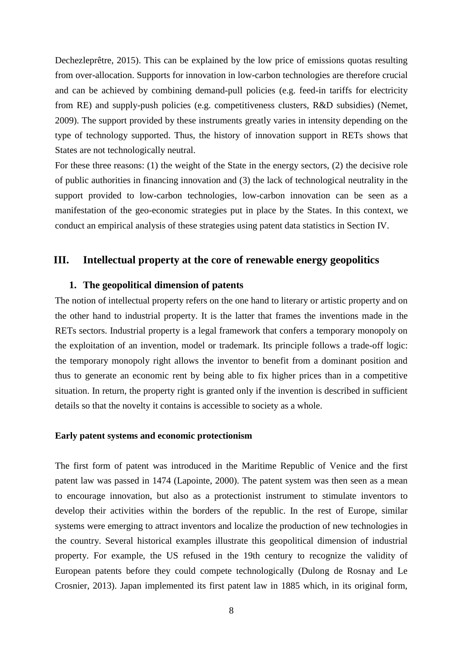Dechezleprêtre, 2015). This can be explained by the low price of emissions quotas resulting from over-allocation. Supports for innovation in low-carbon technologies are therefore crucial and can be achieved by combining demand-pull policies (e.g. feed-in tariffs for electricity from RE) and supply-push policies (e.g. competitiveness clusters, R&D subsidies) (Nemet, 2009). The support provided by these instruments greatly varies in intensity depending on the type of technology supported. Thus, the history of innovation support in RETs shows that States are not technologically neutral.

For these three reasons: (1) the weight of the State in the energy sectors, (2) the decisive role of public authorities in financing innovation and (3) the lack of technological neutrality in the support provided to low-carbon technologies, low-carbon innovation can be seen as a manifestation of the geo-economic strategies put in place by the States. In this context, we conduct an empirical analysis of these strategies using patent data statistics in Section [IV.](#page-15-0)

# **III. Intellectual property at the core of renewable energy geopolitics**

# **1. The geopolitical dimension of patents**

The notion of intellectual property refers on the one hand to literary or artistic property and on the other hand to industrial property. It is the latter that frames the inventions made in the RETs sectors. Industrial property is a legal framework that confers a temporary monopoly on the exploitation of an invention, model or trademark. Its principle follows a trade-off logic: the temporary monopoly right allows the inventor to benefit from a dominant position and thus to generate an economic rent by being able to fix higher prices than in a competitive situation. In return, the property right is granted only if the invention is described in sufficient details so that the novelty it contains is accessible to society as a whole.

#### **Early patent systems and economic protectionism**

The first form of patent was introduced in the Maritime Republic of Venice and the first patent law was passed in 1474 (Lapointe, 2000). The patent system was then seen as a mean to encourage innovation, but also as a protectionist instrument to stimulate inventors to develop their activities within the borders of the republic. In the rest of Europe, similar systems were emerging to attract inventors and localize the production of new technologies in the country. Several historical examples illustrate this geopolitical dimension of industrial property. For example, the US refused in the 19th century to recognize the validity of European patents before they could compete technologically (Dulong de Rosnay and Le Crosnier, 2013). Japan implemented its first patent law in 1885 which, in its original form,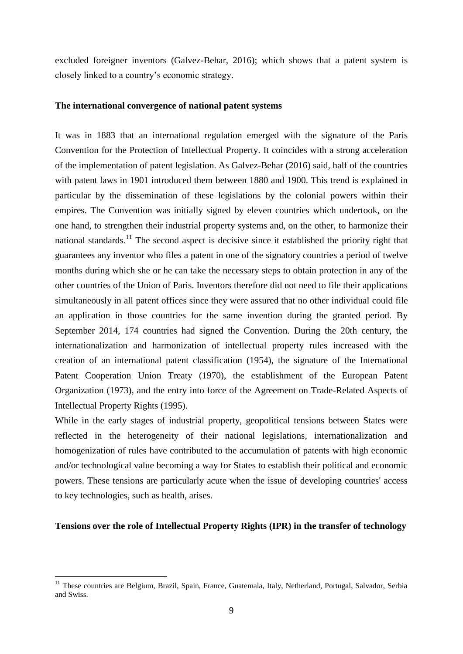excluded foreigner inventors (Galvez-Behar, 2016); which shows that a patent system is closely linked to a country's economic strategy.

#### **The international convergence of national patent systems**

It was in 1883 that an international regulation emerged with the signature of the Paris Convention for the Protection of Intellectual Property. It coincides with a strong acceleration of the implementation of patent legislation. As Galvez-Behar (2016) said, half of the countries with patent laws in 1901 introduced them between 1880 and 1900. This trend is explained in particular by the dissemination of these legislations by the colonial powers within their empires. The Convention was initially signed by eleven countries which undertook, on the one hand, to strengthen their industrial property systems and, on the other, to harmonize their national standards.<sup>11</sup> The second aspect is decisive since it established the priority right that guarantees any inventor who files a patent in one of the signatory countries a period of twelve months during which she or he can take the necessary steps to obtain protection in any of the other countries of the Union of Paris. Inventors therefore did not need to file their applications simultaneously in all patent offices since they were assured that no other individual could file an application in those countries for the same invention during the granted period. By September 2014, 174 countries had signed the Convention. During the 20th century, the internationalization and harmonization of intellectual property rules increased with the creation of an international patent classification (1954), the signature of the International Patent Cooperation Union Treaty (1970), the establishment of the European Patent Organization (1973), and the entry into force of the Agreement on Trade-Related Aspects of Intellectual Property Rights (1995).

While in the early stages of industrial property, geopolitical tensions between States were reflected in the heterogeneity of their national legislations, internationalization and homogenization of rules have contributed to the accumulation of patents with high economic and/or technological value becoming a way for States to establish their political and economic powers. These tensions are particularly acute when the issue of developing countries' access to key technologies, such as health, arises.

#### **Tensions over the role of Intellectual Property Rights (IPR) in the transfer of technology**

<u>.</u>

<sup>&</sup>lt;sup>11</sup> These countries are Belgium, Brazil, Spain, France, Guatemala, Italy, Netherland, Portugal, Salvador, Serbia and Swiss.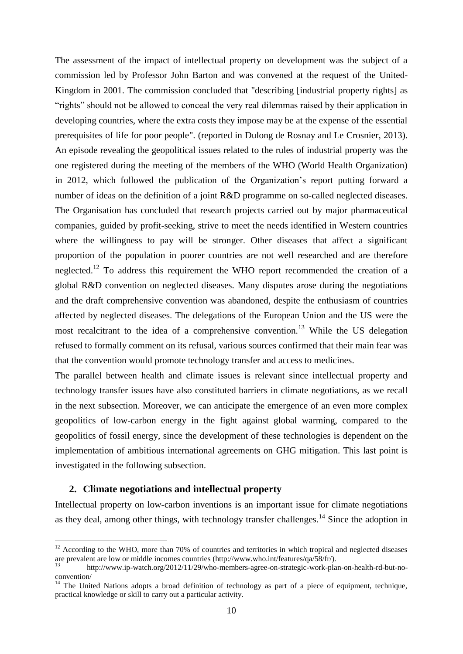The assessment of the impact of intellectual property on development was the subject of a commission led by Professor John Barton and was convened at the request of the United-Kingdom in 2001. The commission concluded that "describing [industrial property rights] as "rights" should not be allowed to conceal the very real dilemmas raised by their application in developing countries, where the extra costs they impose may be at the expense of the essential prerequisites of life for poor people". (reported in Dulong de Rosnay and Le Crosnier, 2013). An episode revealing the geopolitical issues related to the rules of industrial property was the one registered during the meeting of the members of the WHO (World Health Organization) in 2012, which followed the publication of the Organization's report putting forward a number of ideas on the definition of a joint R&D programme on so-called neglected diseases. The Organisation has concluded that research projects carried out by major pharmaceutical companies, guided by profit-seeking, strive to meet the needs identified in Western countries where the willingness to pay will be stronger. Other diseases that affect a significant proportion of the population in poorer countries are not well researched and are therefore neglected.<sup>12</sup> To address this requirement the WHO report recommended the creation of a global R&D convention on neglected diseases. Many disputes arose during the negotiations and the draft comprehensive convention was abandoned, despite the enthusiasm of countries affected by neglected diseases. The delegations of the European Union and the US were the most recalcitrant to the idea of a comprehensive convention.<sup>13</sup> While the US delegation refused to formally comment on its refusal, various sources confirmed that their main fear was that the convention would promote technology transfer and access to medicines.

The parallel between health and climate issues is relevant since intellectual property and technology transfer issues have also constituted barriers in climate negotiations, as we recall in the next subsection. Moreover, we can anticipate the emergence of an even more complex geopolitics of low-carbon energy in the fight against global warming, compared to the geopolitics of fossil energy, since the development of these technologies is dependent on the implementation of ambitious international agreements on GHG mitigation. This last point is investigated in the following subsection.

# **2. Climate negotiations and intellectual property**

<u>.</u>

Intellectual property on low-carbon inventions is an important issue for climate negotiations as they deal, among other things, with technology transfer challenges.<sup>14</sup> Since the adoption in

 $12$  According to the WHO, more than 70% of countries and territories in which tropical and neglected diseases are prevalent are low or middle incomes countries (http://www.who.int/features/qa/58/fr/).

<sup>13</sup> http://www.ip-watch.org/2012/11/29/who-members-agree-on-strategic-work-plan-on-health-rd-but-noconvention/

<sup>&</sup>lt;sup>14</sup> The United Nations adopts a broad definition of technology as part of a piece of equipment, technique, practical knowledge or skill to carry out a particular activity.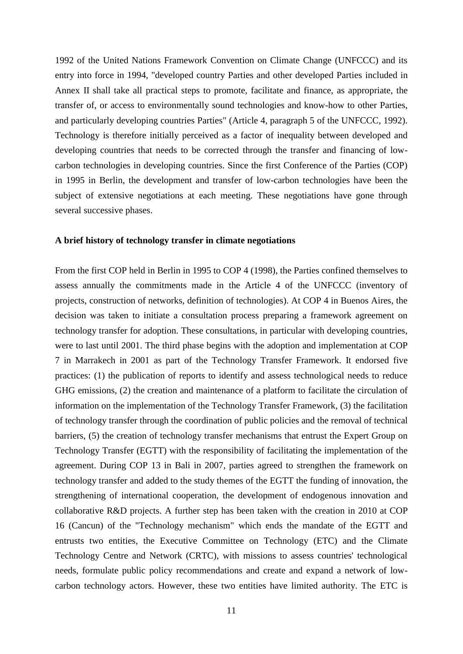1992 of the United Nations Framework Convention on Climate Change (UNFCCC) and its entry into force in 1994, "developed country Parties and other developed Parties included in Annex II shall take all practical steps to promote, facilitate and finance, as appropriate, the transfer of, or access to environmentally sound technologies and know-how to other Parties, and particularly developing countries Parties" (Article 4, paragraph 5 of the UNFCCC, 1992). Technology is therefore initially perceived as a factor of inequality between developed and developing countries that needs to be corrected through the transfer and financing of lowcarbon technologies in developing countries. Since the first Conference of the Parties (COP) in 1995 in Berlin, the development and transfer of low-carbon technologies have been the subject of extensive negotiations at each meeting. These negotiations have gone through several successive phases.

#### **A brief history of technology transfer in climate negotiations**

From the first COP held in Berlin in 1995 to COP 4 (1998), the Parties confined themselves to assess annually the commitments made in the Article 4 of the UNFCCC (inventory of projects, construction of networks, definition of technologies). At COP 4 in Buenos Aires, the decision was taken to initiate a consultation process preparing a framework agreement on technology transfer for adoption. These consultations, in particular with developing countries, were to last until 2001. The third phase begins with the adoption and implementation at COP 7 in Marrakech in 2001 as part of the Technology Transfer Framework. It endorsed five practices: (1) the publication of reports to identify and assess technological needs to reduce GHG emissions, (2) the creation and maintenance of a platform to facilitate the circulation of information on the implementation of the Technology Transfer Framework, (3) the facilitation of technology transfer through the coordination of public policies and the removal of technical barriers, (5) the creation of technology transfer mechanisms that entrust the Expert Group on Technology Transfer (EGTT) with the responsibility of facilitating the implementation of the agreement. During COP 13 in Bali in 2007, parties agreed to strengthen the framework on technology transfer and added to the study themes of the EGTT the funding of innovation, the strengthening of international cooperation, the development of endogenous innovation and collaborative R&D projects. A further step has been taken with the creation in 2010 at COP 16 (Cancun) of the "Technology mechanism" which ends the mandate of the EGTT and entrusts two entities, the Executive Committee on Technology (ETC) and the Climate Technology Centre and Network (CRTC), with missions to assess countries' technological needs, formulate public policy recommendations and create and expand a network of lowcarbon technology actors. However, these two entities have limited authority. The ETC is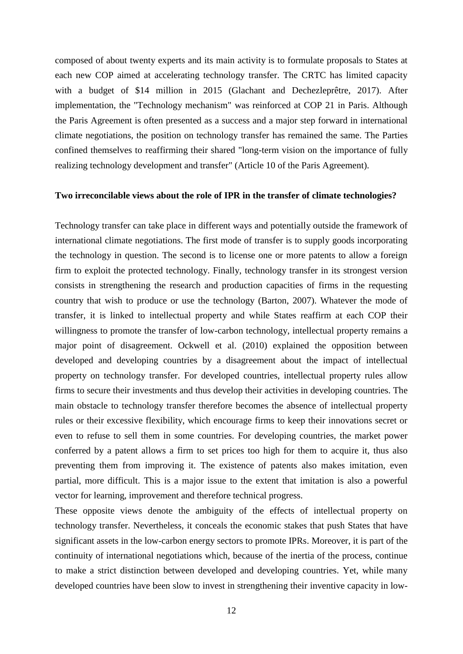composed of about twenty experts and its main activity is to formulate proposals to States at each new COP aimed at accelerating technology transfer. The CRTC has limited capacity with a budget of \$14 million in 2015 (Glachant and Dechezleprêtre, 2017). After implementation, the "Technology mechanism" was reinforced at COP 21 in Paris. Although the Paris Agreement is often presented as a success and a major step forward in international climate negotiations, the position on technology transfer has remained the same. The Parties confined themselves to reaffirming their shared "long-term vision on the importance of fully realizing technology development and transfer" (Article 10 of the Paris Agreement).

#### **Two irreconcilable views about the role of IPR in the transfer of climate technologies?**

Technology transfer can take place in different ways and potentially outside the framework of international climate negotiations. The first mode of transfer is to supply goods incorporating the technology in question. The second is to license one or more patents to allow a foreign firm to exploit the protected technology. Finally, technology transfer in its strongest version consists in strengthening the research and production capacities of firms in the requesting country that wish to produce or use the technology (Barton, 2007). Whatever the mode of transfer, it is linked to intellectual property and while States reaffirm at each COP their willingness to promote the transfer of low-carbon technology, intellectual property remains a major point of disagreement. Ockwell et al. (2010) explained the opposition between developed and developing countries by a disagreement about the impact of intellectual property on technology transfer. For developed countries, intellectual property rules allow firms to secure their investments and thus develop their activities in developing countries. The main obstacle to technology transfer therefore becomes the absence of intellectual property rules or their excessive flexibility, which encourage firms to keep their innovations secret or even to refuse to sell them in some countries. For developing countries, the market power conferred by a patent allows a firm to set prices too high for them to acquire it, thus also preventing them from improving it. The existence of patents also makes imitation, even partial, more difficult. This is a major issue to the extent that imitation is also a powerful vector for learning, improvement and therefore technical progress.

These opposite views denote the ambiguity of the effects of intellectual property on technology transfer. Nevertheless, it conceals the economic stakes that push States that have significant assets in the low-carbon energy sectors to promote IPRs. Moreover, it is part of the continuity of international negotiations which, because of the inertia of the process, continue to make a strict distinction between developed and developing countries. Yet, while many developed countries have been slow to invest in strengthening their inventive capacity in low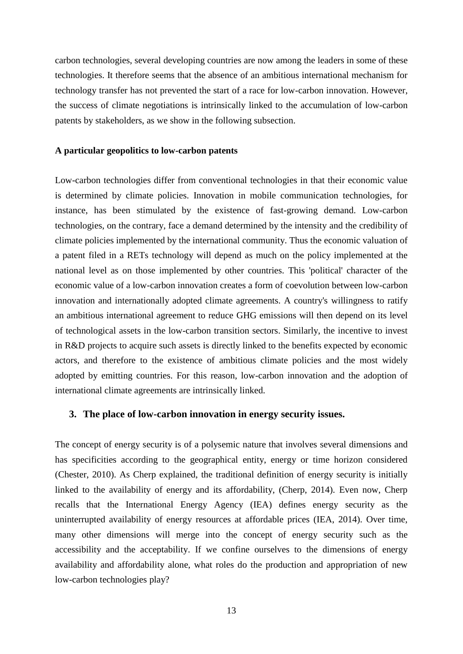carbon technologies, several developing countries are now among the leaders in some of these technologies. It therefore seems that the absence of an ambitious international mechanism for technology transfer has not prevented the start of a race for low-carbon innovation. However, the success of climate negotiations is intrinsically linked to the accumulation of low-carbon patents by stakeholders, as we show in the following subsection.

#### **A particular geopolitics to low-carbon patents**

Low-carbon technologies differ from conventional technologies in that their economic value is determined by climate policies. Innovation in mobile communication technologies, for instance, has been stimulated by the existence of fast-growing demand. Low-carbon technologies, on the contrary, face a demand determined by the intensity and the credibility of climate policies implemented by the international community. Thus the economic valuation of a patent filed in a RETs technology will depend as much on the policy implemented at the national level as on those implemented by other countries. This 'political' character of the economic value of a low-carbon innovation creates a form of coevolution between low-carbon innovation and internationally adopted climate agreements. A country's willingness to ratify an ambitious international agreement to reduce GHG emissions will then depend on its level of technological assets in the low-carbon transition sectors. Similarly, the incentive to invest in R&D projects to acquire such assets is directly linked to the benefits expected by economic actors, and therefore to the existence of ambitious climate policies and the most widely adopted by emitting countries. For this reason, low-carbon innovation and the adoption of international climate agreements are intrinsically linked.

#### **3. The place of low-carbon innovation in energy security issues.**

The concept of energy security is of a polysemic nature that involves several dimensions and has specificities according to the geographical entity, energy or time horizon considered (Chester, 2010). As Cherp explained, the traditional definition of energy security is initially linked to the availability of energy and its affordability, (Cherp, 2014). Even now, Cherp recalls that the International Energy Agency (IEA) defines energy security as the uninterrupted availability of energy resources at affordable prices (IEA, 2014). Over time, many other dimensions will merge into the concept of energy security such as the accessibility and the acceptability. If we confine ourselves to the dimensions of energy availability and affordability alone, what roles do the production and appropriation of new low-carbon technologies play?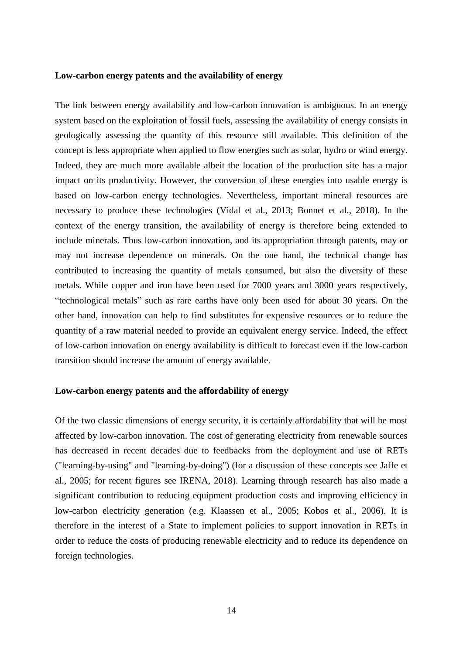#### **Low-carbon energy patents and the availability of energy**

The link between energy availability and low-carbon innovation is ambiguous. In an energy system based on the exploitation of fossil fuels, assessing the availability of energy consists in geologically assessing the quantity of this resource still available. This definition of the concept is less appropriate when applied to flow energies such as solar, hydro or wind energy. Indeed, they are much more available albeit the location of the production site has a major impact on its productivity. However, the conversion of these energies into usable energy is based on low-carbon energy technologies. Nevertheless, important mineral resources are necessary to produce these technologies (Vidal et al., 2013; Bonnet et al., 2018). In the context of the energy transition, the availability of energy is therefore being extended to include minerals. Thus low-carbon innovation, and its appropriation through patents, may or may not increase dependence on minerals. On the one hand, the technical change has contributed to increasing the quantity of metals consumed, but also the diversity of these metals. While copper and iron have been used for 7000 years and 3000 years respectively, "technological metals" such as rare earths have only been used for about 30 years. On the other hand, innovation can help to find substitutes for expensive resources or to reduce the quantity of a raw material needed to provide an equivalent energy service. Indeed, the effect of low-carbon innovation on energy availability is difficult to forecast even if the low-carbon transition should increase the amount of energy available.

#### **Low-carbon energy patents and the affordability of energy**

Of the two classic dimensions of energy security, it is certainly affordability that will be most affected by low-carbon innovation. The cost of generating electricity from renewable sources has decreased in recent decades due to feedbacks from the deployment and use of RETs ("learning-by-using" and "learning-by-doing") (for a discussion of these concepts see Jaffe et al., 2005; for recent figures see IRENA, 2018). Learning through research has also made a significant contribution to reducing equipment production costs and improving efficiency in low-carbon electricity generation (e.g. Klaassen et al., 2005; Kobos et al., 2006). It is therefore in the interest of a State to implement policies to support innovation in RETs in order to reduce the costs of producing renewable electricity and to reduce its dependence on foreign technologies.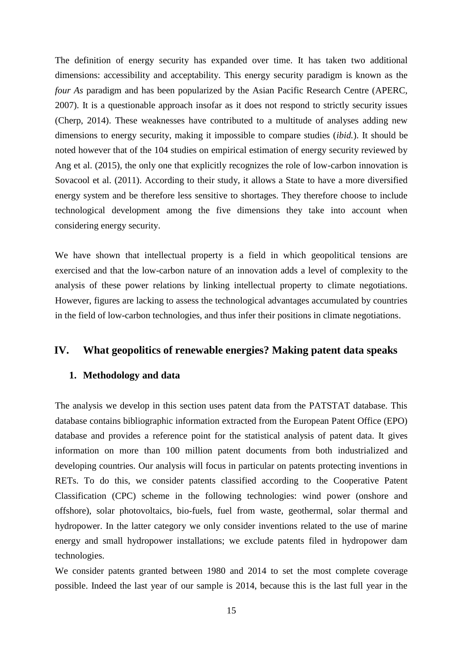The definition of energy security has expanded over time. It has taken two additional dimensions: accessibility and acceptability. This energy security paradigm is known as the *four As* paradigm and has been popularized by the Asian Pacific Research Centre (APERC, 2007). It is a questionable approach insofar as it does not respond to strictly security issues (Cherp, 2014). These weaknesses have contributed to a multitude of analyses adding new dimensions to energy security, making it impossible to compare studies (*ibid.*). It should be noted however that of the 104 studies on empirical estimation of energy security reviewed by Ang et al. (2015), the only one that explicitly recognizes the role of low-carbon innovation is Sovacool et al. (2011). According to their study, it allows a State to have a more diversified energy system and be therefore less sensitive to shortages. They therefore choose to include technological development among the five dimensions they take into account when considering energy security.

We have shown that intellectual property is a field in which geopolitical tensions are exercised and that the low-carbon nature of an innovation adds a level of complexity to the analysis of these power relations by linking intellectual property to climate negotiations. However, figures are lacking to assess the technological advantages accumulated by countries in the field of low-carbon technologies, and thus infer their positions in climate negotiations.

# <span id="page-15-1"></span><span id="page-15-0"></span>**IV. What geopolitics of renewable energies? Making patent data speaks**

# **1. Methodology and data**

The analysis we develop in this section uses patent data from the PATSTAT database. This database contains bibliographic information extracted from the European Patent Office (EPO) database and provides a reference point for the statistical analysis of patent data. It gives information on more than 100 million patent documents from both industrialized and developing countries. Our analysis will focus in particular on patents protecting inventions in RETs. To do this, we consider patents classified according to the Cooperative Patent Classification (CPC) scheme in the following technologies: wind power (onshore and offshore), solar photovoltaics, bio-fuels, fuel from waste, geothermal, solar thermal and hydropower. In the latter category we only consider inventions related to the use of marine energy and small hydropower installations; we exclude patents filed in hydropower dam technologies.

We consider patents granted between 1980 and 2014 to set the most complete coverage possible. Indeed the last year of our sample is 2014, because this is the last full year in the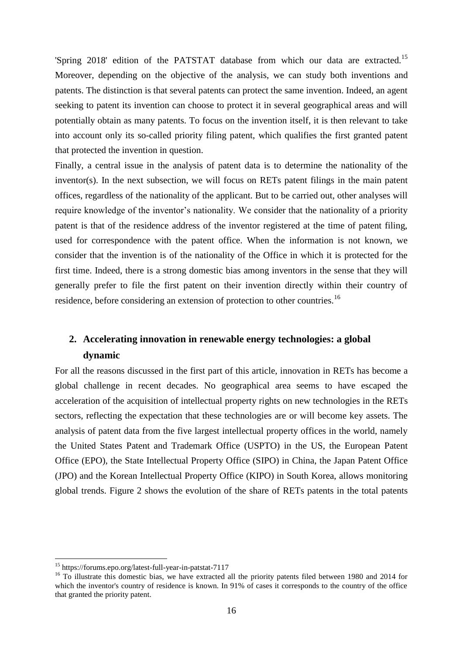'Spring 2018' edition of the PATSTAT database from which our data are extracted.<sup>15</sup> Moreover, depending on the objective of the analysis, we can study both inventions and patents. The distinction is that several patents can protect the same invention. Indeed, an agent seeking to patent its invention can choose to protect it in several geographical areas and will potentially obtain as many patents. To focus on the invention itself, it is then relevant to take into account only its so-called priority filing patent, which qualifies the first granted patent that protected the invention in question.

Finally, a central issue in the analysis of patent data is to determine the nationality of the inventor(s). In the next subsection, we will focus on RETs patent filings in the main patent offices, regardless of the nationality of the applicant. But to be carried out, other analyses will require knowledge of the inventor's nationality. We consider that the nationality of a priority patent is that of the residence address of the inventor registered at the time of patent filing, used for correspondence with the patent office. When the information is not known, we consider that the invention is of the nationality of the Office in which it is protected for the first time. Indeed, there is a strong domestic bias among inventors in the sense that they will generally prefer to file the first patent on their invention directly within their country of residence, before considering an extension of protection to other countries.<sup>16</sup>

# **2. Accelerating innovation in renewable energy technologies: a global dynamic**

For all the reasons discussed in the first part of this article, innovation in RETs has become a global challenge in recent decades. No geographical area seems to have escaped the acceleration of the acquisition of intellectual property rights on new technologies in the RETs sectors, reflecting the expectation that these technologies are or will become key assets. The analysis of patent data from the five largest intellectual property offices in the world, namely the United States Patent and Trademark Office (USPTO) in the US, the European Patent Office (EPO), the State Intellectual Property Office (SIPO) in China, the Japan Patent Office (JPO) and the Korean Intellectual Property Office (KIPO) in South Korea, allows monitoring global trends. Figure 2 shows the evolution of the share of RETs patents in the total patents

<sup>15</sup> https://forums.epo.org/latest-full-year-in-patstat-7117

<sup>&</sup>lt;sup>16</sup> To illustrate this domestic bias, we have extracted all the priority patents filed between 1980 and 2014 for which the inventor's country of residence is known. In 91% of cases it corresponds to the country of the office that granted the priority patent.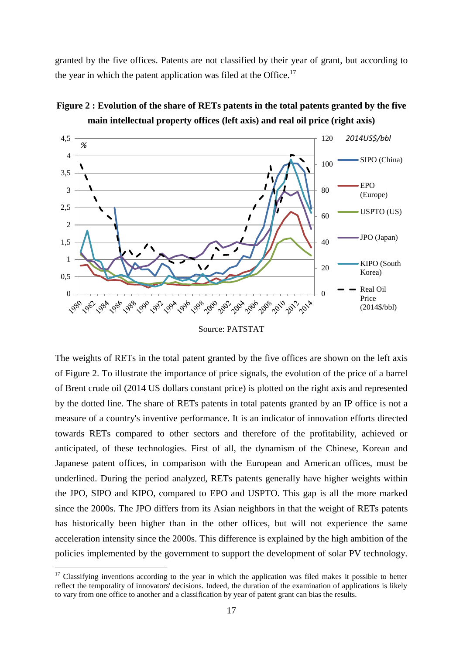granted by the five offices. Patents are not classified by their year of grant, but according to the year in which the patent application was filed at the Office.<sup>17</sup>





Source: PATSTAT

The weights of RETs in the total patent granted by the five offices are shown on the left axis of Figure 2. To illustrate the importance of price signals, the evolution of the price of a barrel of Brent crude oil (2014 US dollars constant price) is plotted on the right axis and represented by the dotted line. The share of RETs patents in total patents granted by an IP office is not a measure of a country's inventive performance. It is an indicator of innovation efforts directed towards RETs compared to other sectors and therefore of the profitability, achieved or anticipated, of these technologies. First of all, the dynamism of the Chinese, Korean and Japanese patent offices, in comparison with the European and American offices, must be underlined. During the period analyzed, RETs patents generally have higher weights within the JPO, SIPO and KIPO, compared to EPO and USPTO. This gap is all the more marked since the 2000s. The JPO differs from its Asian neighbors in that the weight of RETs patents has historically been higher than in the other offices, but will not experience the same acceleration intensity since the 2000s. This difference is explained by the high ambition of the policies implemented by the government to support the development of solar PV technology.

<sup>&</sup>lt;sup>17</sup> Classifying inventions according to the year in which the application was filed makes it possible to better reflect the temporality of innovators' decisions. Indeed, the duration of the examination of applications is likely to vary from one office to another and a classification by year of patent grant can bias the results.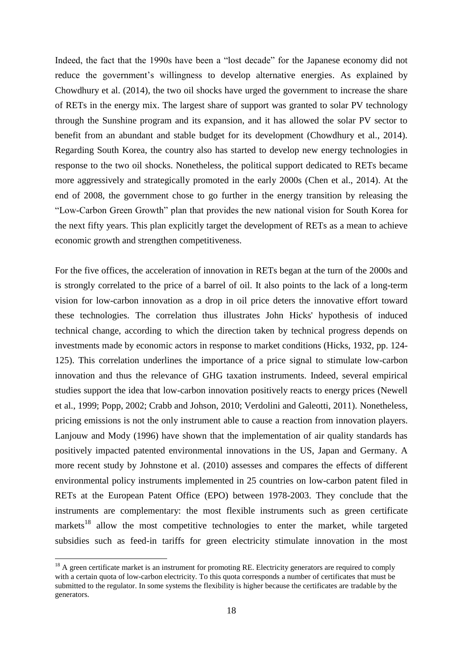Indeed, the fact that the 1990s have been a "lost decade" for the Japanese economy did not reduce the government's willingness to develop alternative energies. As explained by Chowdhury et al. (2014), the two oil shocks have urged the government to increase the share of RETs in the energy mix. The largest share of support was granted to solar PV technology through the Sunshine program and its expansion, and it has allowed the solar PV sector to benefit from an abundant and stable budget for its development (Chowdhury et al., 2014). Regarding South Korea, the country also has started to develop new energy technologies in response to the two oil shocks. Nonetheless, the political support dedicated to RETs became more aggressively and strategically promoted in the early 2000s (Chen et al., 2014). At the end of 2008, the government chose to go further in the energy transition by releasing the "Low-Carbon Green Growth" plan that provides the new national vision for South Korea for the next fifty years. This plan explicitly target the development of RETs as a mean to achieve economic growth and strengthen competitiveness.

For the five offices, the acceleration of innovation in RETs began at the turn of the 2000s and is strongly correlated to the price of a barrel of oil. It also points to the lack of a long-term vision for low-carbon innovation as a drop in oil price deters the innovative effort toward these technologies. The correlation thus illustrates John Hicks' hypothesis of induced technical change, according to which the direction taken by technical progress depends on investments made by economic actors in response to market conditions (Hicks, 1932, pp. 124- 125). This correlation underlines the importance of a price signal to stimulate low-carbon innovation and thus the relevance of GHG taxation instruments. Indeed, several empirical studies support the idea that low-carbon innovation positively reacts to energy prices (Newell et al., 1999; Popp, 2002; Crabb and Johson, 2010; Verdolini and Galeotti, 2011). Nonetheless, pricing emissions is not the only instrument able to cause a reaction from innovation players. Lanjouw and Mody (1996) have shown that the implementation of air quality standards has positively impacted patented environmental innovations in the US, Japan and Germany. A more recent study by Johnstone et al. (2010) assesses and compares the effects of different environmental policy instruments implemented in 25 countries on low-carbon patent filed in RETs at the European Patent Office (EPO) between 1978-2003. They conclude that the instruments are complementary: the most flexible instruments such as green certificate markets<sup>18</sup> allow the most competitive technologies to enter the market, while targeted subsidies such as feed-in tariffs for green electricity stimulate innovation in the most

<sup>&</sup>lt;sup>18</sup> A green certificate market is an instrument for promoting RE. Electricity generators are required to comply with a certain quota of low-carbon electricity. To this quota corresponds a number of certificates that must be submitted to the regulator. In some systems the flexibility is higher because the certificates are tradable by the generators.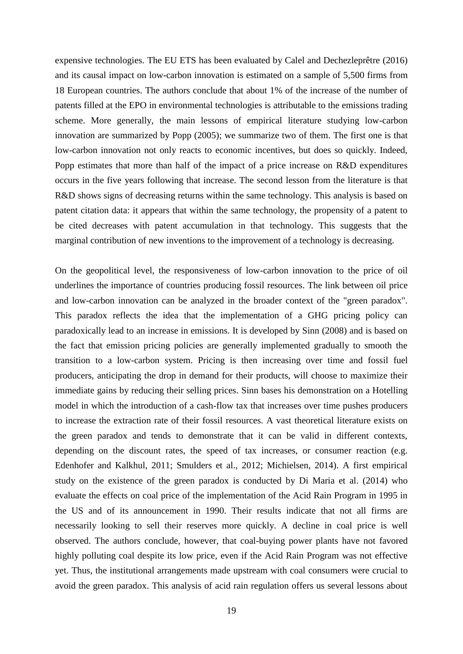expensive technologies. The EU ETS has been evaluated by Calel and Dechezleprêtre (2016) and its causal impact on low-carbon innovation is estimated on a sample of 5,500 firms from 18 European countries. The authors conclude that about 1% of the increase of the number of patents filled at the EPO in environmental technologies is attributable to the emissions trading scheme. More generally, the main lessons of empirical literature studying low-carbon innovation are summarized by Popp (2005); we summarize two of them. The first one is that low-carbon innovation not only reacts to economic incentives, but does so quickly. Indeed, Popp estimates that more than half of the impact of a price increase on R&D expenditures occurs in the five years following that increase. The second lesson from the literature is that R&D shows signs of decreasing returns within the same technology. This analysis is based on patent citation data: it appears that within the same technology, the propensity of a patent to be cited decreases with patent accumulation in that technology. This suggests that the marginal contribution of new inventions to the improvement of a technology is decreasing.

On the geopolitical level, the responsiveness of low-carbon innovation to the price of oil underlines the importance of countries producing fossil resources. The link between oil price and low-carbon innovation can be analyzed in the broader context of the "green paradox". This paradox reflects the idea that the implementation of a GHG pricing policy can paradoxically lead to an increase in emissions. It is developed by Sinn (2008) and is based on the fact that emission pricing policies are generally implemented gradually to smooth the transition to a low-carbon system. Pricing is then increasing over time and fossil fuel producers, anticipating the drop in demand for their products, will choose to maximize their immediate gains by reducing their selling prices. Sinn bases his demonstration on a Hotelling model in which the introduction of a cash-flow tax that increases over time pushes producers to increase the extraction rate of their fossil resources. A vast theoretical literature exists on the green paradox and tends to demonstrate that it can be valid in different contexts, depending on the discount rates, the speed of tax increases, or consumer reaction (e.g. Edenhofer and Kalkhul, 2011; Smulders et al., 2012; Michielsen, 2014). A first empirical study on the existence of the green paradox is conducted by Di Maria et al. (2014) who evaluate the effects on coal price of the implementation of the Acid Rain Program in 1995 in the US and of its announcement in 1990. Their results indicate that not all firms are necessarily looking to sell their reserves more quickly. A decline in coal price is well observed. The authors conclude, however, that coal-buying power plants have not favored highly polluting coal despite its low price, even if the Acid Rain Program was not effective yet. Thus, the institutional arrangements made upstream with coal consumers were crucial to avoid the green paradox. This analysis of acid rain regulation offers us several lessons about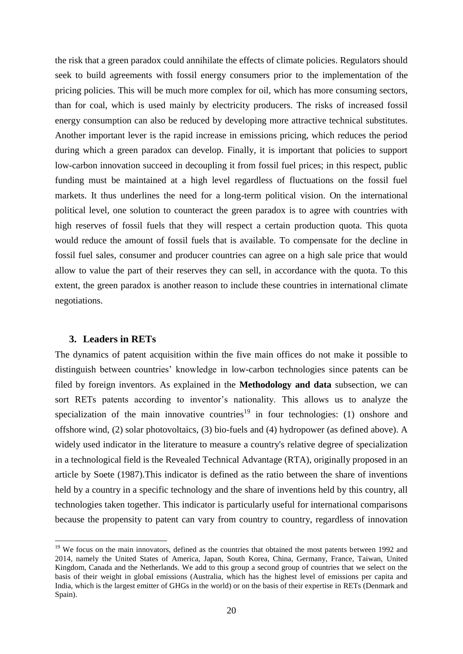the risk that a green paradox could annihilate the effects of climate policies. Regulators should seek to build agreements with fossil energy consumers prior to the implementation of the pricing policies. This will be much more complex for oil, which has more consuming sectors, than for coal, which is used mainly by electricity producers. The risks of increased fossil energy consumption can also be reduced by developing more attractive technical substitutes. Another important lever is the rapid increase in emissions pricing, which reduces the period during which a green paradox can develop. Finally, it is important that policies to support low-carbon innovation succeed in decoupling it from fossil fuel prices; in this respect, public funding must be maintained at a high level regardless of fluctuations on the fossil fuel markets. It thus underlines the need for a long-term political vision. On the international political level, one solution to counteract the green paradox is to agree with countries with high reserves of fossil fuels that they will respect a certain production quota. This quota would reduce the amount of fossil fuels that is available. To compensate for the decline in fossil fuel sales, consumer and producer countries can agree on a high sale price that would allow to value the part of their reserves they can sell, in accordance with the quota. To this extent, the green paradox is another reason to include these countries in international climate negotiations.

#### **3. Leaders in RETs**

<u>.</u>

The dynamics of patent acquisition within the five main offices do not make it possible to distinguish between countries' knowledge in low-carbon technologies since patents can be filed by foreign inventors. As explained in the **[Methodology and data](#page-15-1)** subsection, we can sort RETs patents according to inventor's nationality. This allows us to analyze the specialization of the main innovative countries<sup>19</sup> in four technologies: (1) onshore and offshore wind, (2) solar photovoltaics, (3) bio-fuels and (4) hydropower (as defined above). A widely used indicator in the literature to measure a country's relative degree of specialization in a technological field is the Revealed Technical Advantage (RTA), originally proposed in an article by Soete (1987).This indicator is defined as the ratio between the share of inventions held by a country in a specific technology and the share of inventions held by this country, all technologies taken together. This indicator is particularly useful for international comparisons because the propensity to patent can vary from country to country, regardless of innovation

<sup>&</sup>lt;sup>19</sup> We focus on the main innovators, defined as the countries that obtained the most patents between 1992 and 2014, namely the United States of America, Japan, South Korea, China, Germany, France, Taiwan, United Kingdom, Canada and the Netherlands. We add to this group a second group of countries that we select on the basis of their weight in global emissions (Australia, which has the highest level of emissions per capita and India, which is the largest emitter of GHGs in the world) or on the basis of their expertise in RETs (Denmark and Spain).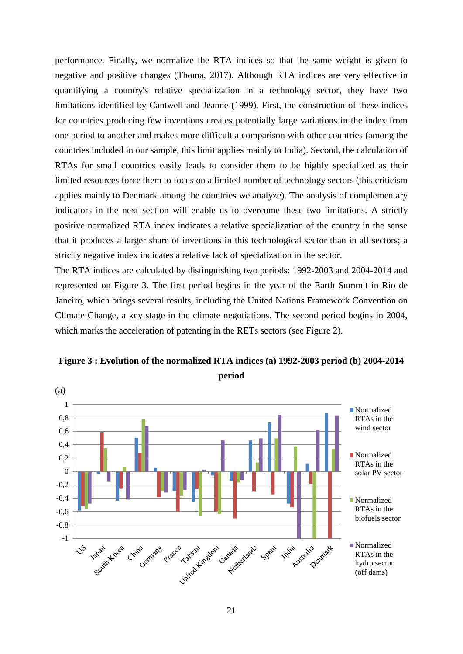performance. Finally, we normalize the RTA indices so that the same weight is given to negative and positive changes (Thoma, 2017). Although RTA indices are very effective in quantifying a country's relative specialization in a technology sector, they have two limitations identified by Cantwell and Jeanne (1999). First, the construction of these indices for countries producing few inventions creates potentially large variations in the index from one period to another and makes more difficult a comparison with other countries (among the countries included in our sample, this limit applies mainly to India). Second, the calculation of RTAs for small countries easily leads to consider them to be highly specialized as their limited resources force them to focus on a limited number of technology sectors (this criticism applies mainly to Denmark among the countries we analyze). The analysis of complementary indicators in the next section will enable us to overcome these two limitations. A strictly positive normalized RTA index indicates a relative specialization of the country in the sense that it produces a larger share of inventions in this technological sector than in all sectors; a strictly negative index indicates a relative lack of specialization in the sector.

The RTA indices are calculated by distinguishing two periods: 1992-2003 and 2004-2014 and represented on Figure 3. The first period begins in the year of the Earth Summit in Rio de Janeiro, which brings several results, including the United Nations Framework Convention on Climate Change, a key stage in the climate negotiations. The second period begins in 2004, which marks the acceleration of patenting in the RETs sectors (see Figure 2).



**Figure 3 : Evolution of the normalized RTA indices (a) 1992-2003 period (b) 2004-2014 period**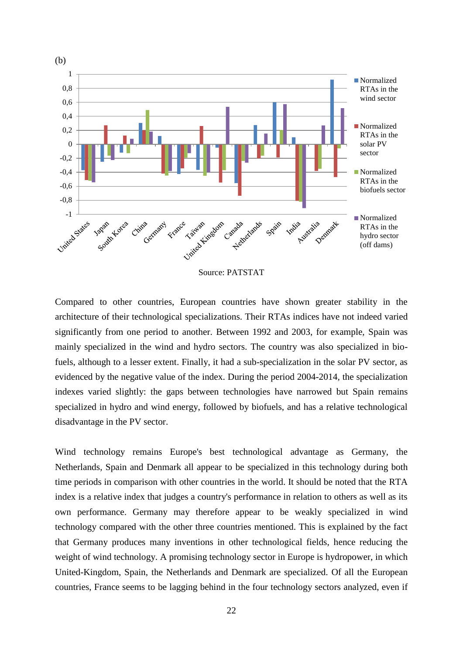

Source: PATSTAT

Compared to other countries, European countries have shown greater stability in the architecture of their technological specializations. Their RTAs indices have not indeed varied significantly from one period to another. Between 1992 and 2003, for example, Spain was mainly specialized in the wind and hydro sectors. The country was also specialized in biofuels, although to a lesser extent. Finally, it had a sub-specialization in the solar PV sector, as evidenced by the negative value of the index. During the period 2004-2014, the specialization indexes varied slightly: the gaps between technologies have narrowed but Spain remains specialized in hydro and wind energy, followed by biofuels, and has a relative technological disadvantage in the PV sector.

Wind technology remains Europe's best technological advantage as Germany, the Netherlands, Spain and Denmark all appear to be specialized in this technology during both time periods in comparison with other countries in the world. It should be noted that the RTA index is a relative index that judges a country's performance in relation to others as well as its own performance. Germany may therefore appear to be weakly specialized in wind technology compared with the other three countries mentioned. This is explained by the fact that Germany produces many inventions in other technological fields, hence reducing the weight of wind technology. A promising technology sector in Europe is hydropower, in which United-Kingdom, Spain, the Netherlands and Denmark are specialized. Of all the European countries, France seems to be lagging behind in the four technology sectors analyzed, even if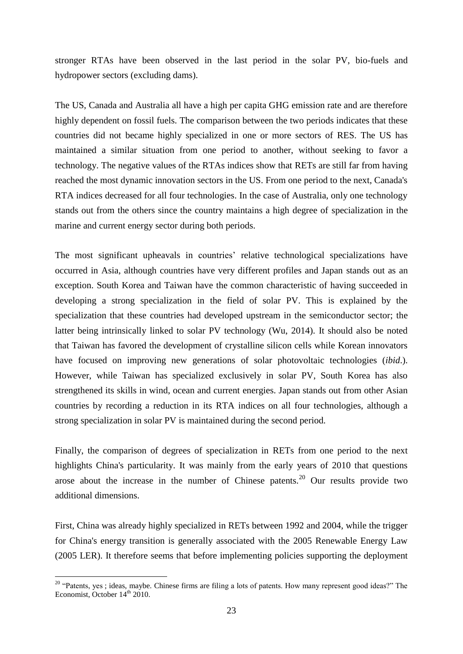stronger RTAs have been observed in the last period in the solar PV, bio-fuels and hydropower sectors (excluding dams).

The US, Canada and Australia all have a high per capita GHG emission rate and are therefore highly dependent on fossil fuels. The comparison between the two periods indicates that these countries did not became highly specialized in one or more sectors of RES. The US has maintained a similar situation from one period to another, without seeking to favor a technology. The negative values of the RTAs indices show that RETs are still far from having reached the most dynamic innovation sectors in the US. From one period to the next, Canada's RTA indices decreased for all four technologies. In the case of Australia, only one technology stands out from the others since the country maintains a high degree of specialization in the marine and current energy sector during both periods.

The most significant upheavals in countries' relative technological specializations have occurred in Asia, although countries have very different profiles and Japan stands out as an exception. South Korea and Taiwan have the common characteristic of having succeeded in developing a strong specialization in the field of solar PV. This is explained by the specialization that these countries had developed upstream in the semiconductor sector; the latter being intrinsically linked to solar PV technology (Wu, 2014). It should also be noted that Taiwan has favored the development of crystalline silicon cells while Korean innovators have focused on improving new generations of solar photovoltaic technologies (*ibid*.). However, while Taiwan has specialized exclusively in solar PV, South Korea has also strengthened its skills in wind, ocean and current energies. Japan stands out from other Asian countries by recording a reduction in its RTA indices on all four technologies, although a strong specialization in solar PV is maintained during the second period.

Finally, the comparison of degrees of specialization in RETs from one period to the next highlights China's particularity. It was mainly from the early years of 2010 that questions arose about the increase in the number of Chinese patents.<sup>20</sup> Our results provide two additional dimensions.

First, China was already highly specialized in RETs between 1992 and 2004, while the trigger for China's energy transition is generally associated with the 2005 Renewable Energy Law (2005 LER). It therefore seems that before implementing policies supporting the deployment

<u>.</u>

<sup>&</sup>lt;sup>20</sup> "Patents, yes ; ideas, maybe. Chinese firms are filing a lots of patents. How many represent good ideas?" The Economist, October  $14<sup>th</sup>$  2010.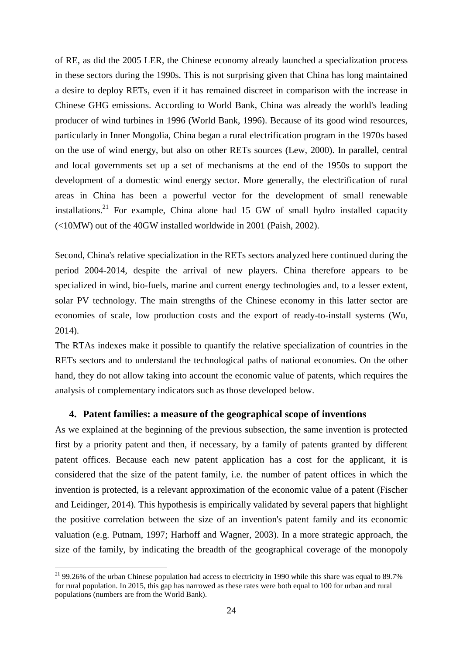of RE, as did the 2005 LER, the Chinese economy already launched a specialization process in these sectors during the 1990s. This is not surprising given that China has long maintained a desire to deploy RETs, even if it has remained discreet in comparison with the increase in Chinese GHG emissions. According to World Bank, China was already the world's leading producer of wind turbines in 1996 (World Bank, 1996). Because of its good wind resources, particularly in Inner Mongolia, China began a rural electrification program in the 1970s based on the use of wind energy, but also on other RETs sources (Lew, 2000). In parallel, central and local governments set up a set of mechanisms at the end of the 1950s to support the development of a domestic wind energy sector. More generally, the electrification of rural areas in China has been a powerful vector for the development of small renewable installations.<sup>21</sup> For example, China alone had  $15$  GW of small hydro installed capacity (<10MW) out of the 40GW installed worldwide in 2001 (Paish, 2002).

Second, China's relative specialization in the RETs sectors analyzed here continued during the period 2004-2014, despite the arrival of new players. China therefore appears to be specialized in wind, bio-fuels, marine and current energy technologies and, to a lesser extent, solar PV technology. The main strengths of the Chinese economy in this latter sector are economies of scale, low production costs and the export of ready-to-install systems (Wu, 2014).

The RTAs indexes make it possible to quantify the relative specialization of countries in the RETs sectors and to understand the technological paths of national economies. On the other hand, they do not allow taking into account the economic value of patents, which requires the analysis of complementary indicators such as those developed below.

# **4. Patent families: a measure of the geographical scope of inventions**

As we explained at the beginning of the previous subsection, the same invention is protected first by a priority patent and then, if necessary, by a family of patents granted by different patent offices. Because each new patent application has a cost for the applicant, it is considered that the size of the patent family, i.e. the number of patent offices in which the invention is protected, is a relevant approximation of the economic value of a patent (Fischer and Leidinger, 2014). This hypothesis is empirically validated by several papers that highlight the positive correlation between the size of an invention's patent family and its economic valuation (e.g. Putnam, 1997; Harhoff and Wagner, 2003). In a more strategic approach, the size of the family, by indicating the breadth of the geographical coverage of the monopoly

 $21$  99.26% of the urban Chinese population had access to electricity in 1990 while this share was equal to 89.7% for rural population. In 2015, this gap has narrowed as these rates were both equal to 100 for urban and rural populations (numbers are from the World Bank).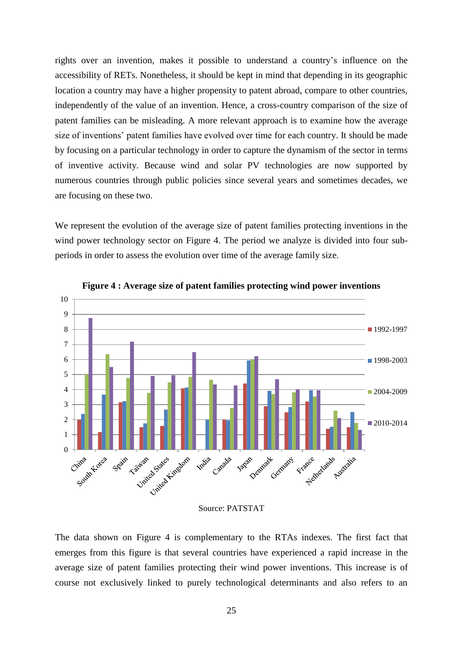rights over an invention, makes it possible to understand a country's influence on the accessibility of RETs. Nonetheless, it should be kept in mind that depending in its geographic location a country may have a higher propensity to patent abroad, compare to other countries, independently of the value of an invention. Hence, a cross-country comparison of the size of patent families can be misleading. A more relevant approach is to examine how the average size of inventions' patent families have evolved over time for each country. It should be made by focusing on a particular technology in order to capture the dynamism of the sector in terms of inventive activity. Because wind and solar PV technologies are now supported by numerous countries through public policies since several years and sometimes decades, we are focusing on these two.

We represent the evolution of the average size of patent families protecting inventions in the wind power technology sector on Figure 4. The period we analyze is divided into four subperiods in order to assess the evolution over time of the average family size.



**Figure 4 : Average size of patent families protecting wind power inventions**

#### Source: PATSTAT

The data shown on Figure 4 is complementary to the RTAs indexes. The first fact that emerges from this figure is that several countries have experienced a rapid increase in the average size of patent families protecting their wind power inventions. This increase is of course not exclusively linked to purely technological determinants and also refers to an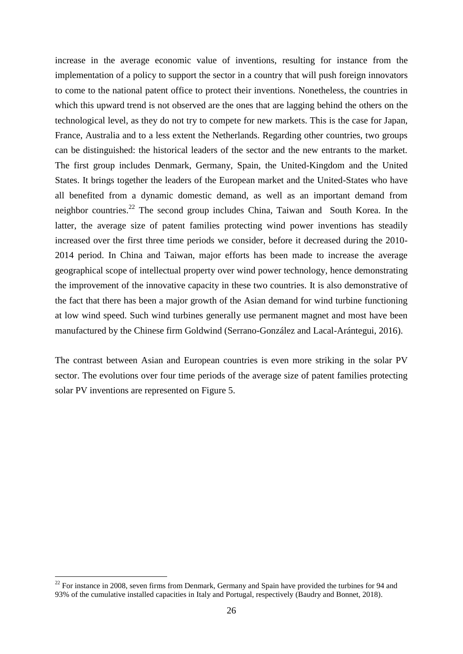increase in the average economic value of inventions, resulting for instance from the implementation of a policy to support the sector in a country that will push foreign innovators to come to the national patent office to protect their inventions. Nonetheless, the countries in which this upward trend is not observed are the ones that are lagging behind the others on the technological level, as they do not try to compete for new markets. This is the case for Japan, France, Australia and to a less extent the Netherlands. Regarding other countries, two groups can be distinguished: the historical leaders of the sector and the new entrants to the market. The first group includes Denmark, Germany, Spain, the United-Kingdom and the United States. It brings together the leaders of the European market and the United-States who have all benefited from a dynamic domestic demand, as well as an important demand from neighbor countries.<sup>22</sup> The second group includes China, Taiwan and South Korea. In the latter, the average size of patent families protecting wind power inventions has steadily increased over the first three time periods we consider, before it decreased during the 2010- 2014 period. In China and Taiwan, major efforts has been made to increase the average geographical scope of intellectual property over wind power technology, hence demonstrating the improvement of the innovative capacity in these two countries. It is also demonstrative of the fact that there has been a major growth of the Asian demand for wind turbine functioning at low wind speed. Such wind turbines generally use permanent magnet and most have been manufactured by the Chinese firm Goldwind (Serrano-González and Lacal-Arántegui, 2016).

The contrast between Asian and European countries is even more striking in the solar PV sector. The evolutions over four time periods of the average size of patent families protecting solar PV inventions are represented on Figure 5.

<u>.</u>

 $22$  For instance in 2008, seven firms from Denmark, Germany and Spain have provided the turbines for 94 and 93% of the cumulative installed capacities in Italy and Portugal, respectively (Baudry and Bonnet, 2018).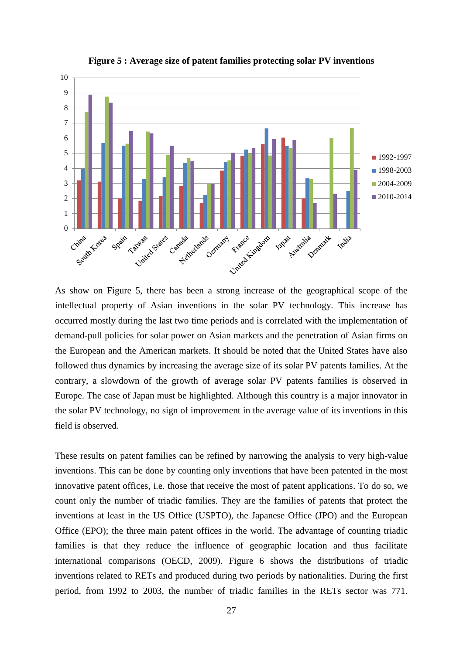

**Figure 5 : Average size of patent families protecting solar PV inventions**

As show on Figure 5, there has been a strong increase of the geographical scope of the intellectual property of Asian inventions in the solar PV technology. This increase has occurred mostly during the last two time periods and is correlated with the implementation of demand-pull policies for solar power on Asian markets and the penetration of Asian firms on the European and the American markets. It should be noted that the United States have also followed thus dynamics by increasing the average size of its solar PV patents families. At the contrary, a slowdown of the growth of average solar PV patents families is observed in Europe. The case of Japan must be highlighted. Although this country is a major innovator in the solar PV technology, no sign of improvement in the average value of its inventions in this field is observed.

These results on patent families can be refined by narrowing the analysis to very high-value inventions. This can be done by counting only inventions that have been patented in the most innovative patent offices, i.e. those that receive the most of patent applications. To do so, we count only the number of triadic families. They are the families of patents that protect the inventions at least in the US Office (USPTO), the Japanese Office (JPO) and the European Office (EPO); the three main patent offices in the world. The advantage of counting triadic families is that they reduce the influence of geographic location and thus facilitate international comparisons (OECD, 2009). [Figure 6](#page-28-0) shows the distributions of triadic inventions related to RETs and produced during two periods by nationalities. During the first period, from 1992 to 2003, the number of triadic families in the RETs sector was 771.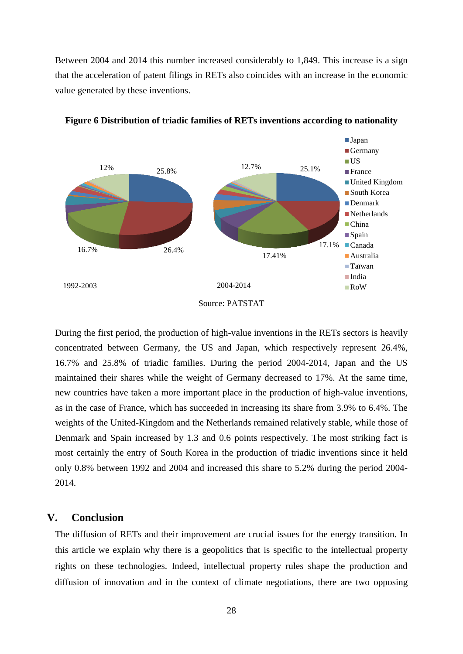Between 2004 and 2014 this number increased considerably to 1,849. This increase is a sign that the acceleration of patent filings in RETs also coincides with an increase in the economic value generated by these inventions.



<span id="page-28-0"></span>**Figure 6 Distribution of triadic families of RETs inventions according to nationality**

During the first period, the production of high-value inventions in the RETs sectors is heavily concentrated between Germany, the US and Japan, which respectively represent 26.4%, 16.7% and 25.8% of triadic families. During the period 2004-2014, Japan and the US maintained their shares while the weight of Germany decreased to 17%. At the same time, new countries have taken a more important place in the production of high-value inventions, as in the case of France, which has succeeded in increasing its share from 3.9% to 6.4%. The weights of the United-Kingdom and the Netherlands remained relatively stable, while those of Denmark and Spain increased by 1.3 and 0.6 points respectively. The most striking fact is most certainly the entry of South Korea in the production of triadic inventions since it held only 0.8% between 1992 and 2004 and increased this share to 5.2% during the period 2004- 2014.

# **V. Conclusion**

The diffusion of RETs and their improvement are crucial issues for the energy transition. In this article we explain why there is a geopolitics that is specific to the intellectual property rights on these technologies. Indeed, intellectual property rules shape the production and diffusion of innovation and in the context of climate negotiations, there are two opposing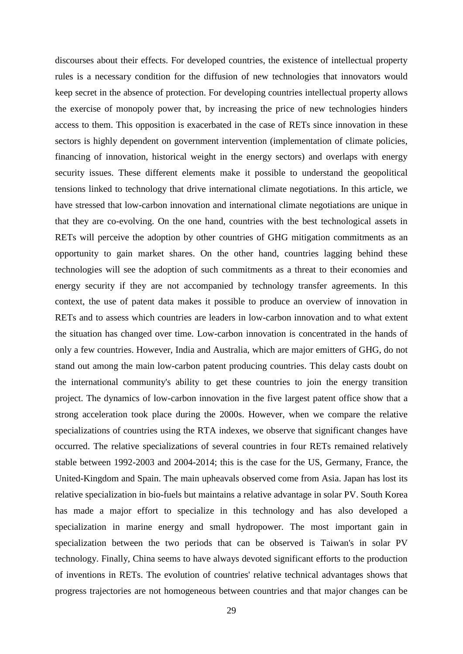discourses about their effects. For developed countries, the existence of intellectual property rules is a necessary condition for the diffusion of new technologies that innovators would keep secret in the absence of protection. For developing countries intellectual property allows the exercise of monopoly power that, by increasing the price of new technologies hinders access to them. This opposition is exacerbated in the case of RETs since innovation in these sectors is highly dependent on government intervention (implementation of climate policies, financing of innovation, historical weight in the energy sectors) and overlaps with energy security issues. These different elements make it possible to understand the geopolitical tensions linked to technology that drive international climate negotiations. In this article, we have stressed that low-carbon innovation and international climate negotiations are unique in that they are co-evolving. On the one hand, countries with the best technological assets in RETs will perceive the adoption by other countries of GHG mitigation commitments as an opportunity to gain market shares. On the other hand, countries lagging behind these technologies will see the adoption of such commitments as a threat to their economies and energy security if they are not accompanied by technology transfer agreements. In this context, the use of patent data makes it possible to produce an overview of innovation in RETs and to assess which countries are leaders in low-carbon innovation and to what extent the situation has changed over time. Low-carbon innovation is concentrated in the hands of only a few countries. However, India and Australia, which are major emitters of GHG, do not stand out among the main low-carbon patent producing countries. This delay casts doubt on the international community's ability to get these countries to join the energy transition project. The dynamics of low-carbon innovation in the five largest patent office show that a strong acceleration took place during the 2000s. However, when we compare the relative specializations of countries using the RTA indexes, we observe that significant changes have occurred. The relative specializations of several countries in four RETs remained relatively stable between 1992-2003 and 2004-2014; this is the case for the US, Germany, France, the United-Kingdom and Spain. The main upheavals observed come from Asia. Japan has lost its relative specialization in bio-fuels but maintains a relative advantage in solar PV. South Korea has made a major effort to specialize in this technology and has also developed a specialization in marine energy and small hydropower. The most important gain in specialization between the two periods that can be observed is Taiwan's in solar PV technology. Finally, China seems to have always devoted significant efforts to the production of inventions in RETs. The evolution of countries' relative technical advantages shows that progress trajectories are not homogeneous between countries and that major changes can be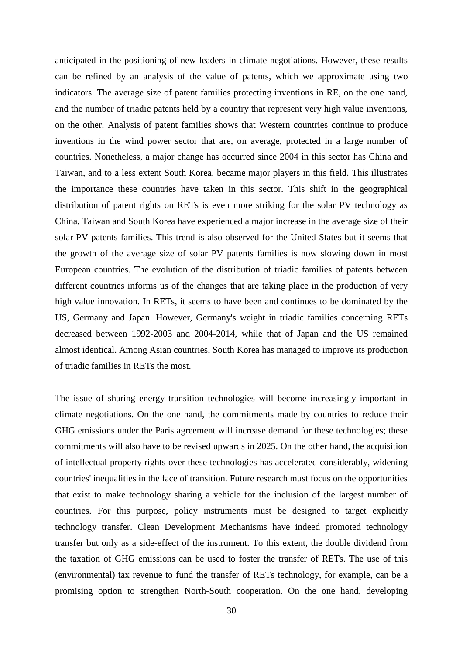anticipated in the positioning of new leaders in climate negotiations. However, these results can be refined by an analysis of the value of patents, which we approximate using two indicators. The average size of patent families protecting inventions in RE, on the one hand, and the number of triadic patents held by a country that represent very high value inventions, on the other. Analysis of patent families shows that Western countries continue to produce inventions in the wind power sector that are, on average, protected in a large number of countries. Nonetheless, a major change has occurred since 2004 in this sector has China and Taiwan, and to a less extent South Korea, became major players in this field. This illustrates the importance these countries have taken in this sector. This shift in the geographical distribution of patent rights on RETs is even more striking for the solar PV technology as China, Taiwan and South Korea have experienced a major increase in the average size of their solar PV patents families. This trend is also observed for the United States but it seems that the growth of the average size of solar PV patents families is now slowing down in most European countries. The evolution of the distribution of triadic families of patents between different countries informs us of the changes that are taking place in the production of very high value innovation. In RETs, it seems to have been and continues to be dominated by the US, Germany and Japan. However, Germany's weight in triadic families concerning RETs decreased between 1992-2003 and 2004-2014, while that of Japan and the US remained almost identical. Among Asian countries, South Korea has managed to improve its production of triadic families in RETs the most.

The issue of sharing energy transition technologies will become increasingly important in climate negotiations. On the one hand, the commitments made by countries to reduce their GHG emissions under the Paris agreement will increase demand for these technologies; these commitments will also have to be revised upwards in 2025. On the other hand, the acquisition of intellectual property rights over these technologies has accelerated considerably, widening countries' inequalities in the face of transition. Future research must focus on the opportunities that exist to make technology sharing a vehicle for the inclusion of the largest number of countries. For this purpose, policy instruments must be designed to target explicitly technology transfer. Clean Development Mechanisms have indeed promoted technology transfer but only as a side-effect of the instrument. To this extent, the double dividend from the taxation of GHG emissions can be used to foster the transfer of RETs. The use of this (environmental) tax revenue to fund the transfer of RETs technology, for example, can be a promising option to strengthen North-South cooperation. On the one hand, developing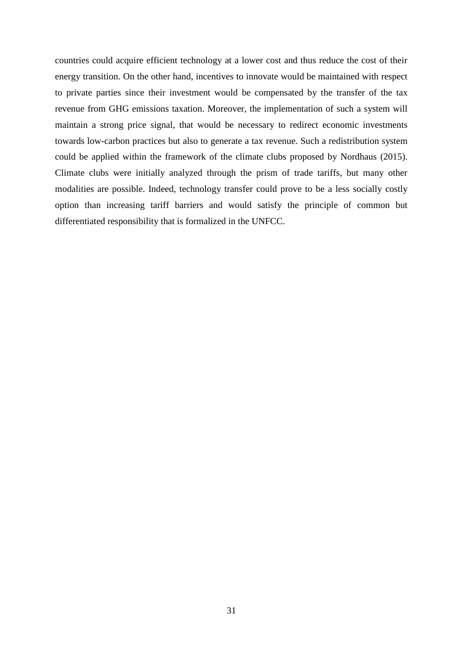countries could acquire efficient technology at a lower cost and thus reduce the cost of their energy transition. On the other hand, incentives to innovate would be maintained with respect to private parties since their investment would be compensated by the transfer of the tax revenue from GHG emissions taxation. Moreover, the implementation of such a system will maintain a strong price signal, that would be necessary to redirect economic investments towards low-carbon practices but also to generate a tax revenue. Such a redistribution system could be applied within the framework of the climate clubs proposed by Nordhaus (2015). Climate clubs were initially analyzed through the prism of trade tariffs, but many other modalities are possible. Indeed, technology transfer could prove to be a less socially costly option than increasing tariff barriers and would satisfy the principle of common but differentiated responsibility that is formalized in the UNFCC.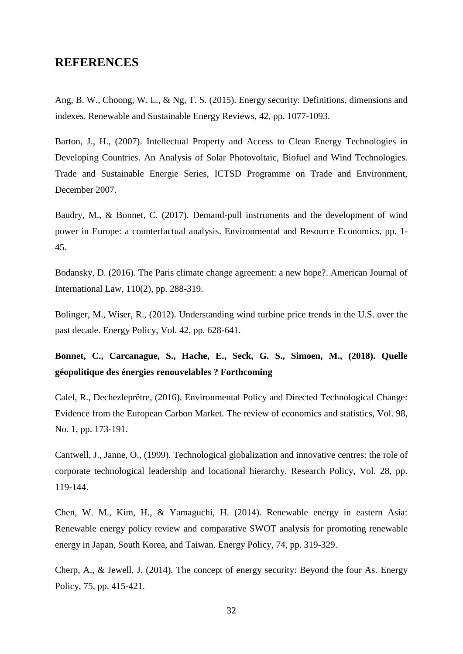# **REFERENCES**

Ang, B. W., Choong, W. L., & Ng, T. S. (2015). Energy security: Definitions, dimensions and indexes. Renewable and Sustainable Energy Reviews, 42, pp. 1077-1093.

Barton, J., H., (2007). Intellectual Property and Access to Clean Energy Technologies in Developing Countries. An Analysis of Solar Photovoltaic, Biofuel and Wind Technologies. Trade and Sustainable Energie Series, ICTSD Programme on Trade and Environment, December 2007.

Baudry, M., & Bonnet, C. (2017). Demand-pull instruments and the development of wind power in Europe: a counterfactual analysis. Environmental and Resource Economics, pp. 1- 45.

Bodansky, D. (2016). The Paris climate change agreement: a new hope?. American Journal of International Law, 110(2), pp. 288-319.

Bolinger, M., Wiser, R., (2012). Understanding wind turbine price trends in the U.S. over the past decade. Energy Policy, Vol. 42, pp. 628-641.

**Bonnet, C., Carcanague, S., Hache, E., Seck, G. S., Simoen, M., (2018). Quelle géopolitique des énergies renouvelables ? Forthcoming**

Calel, R., Dechezleprêtre, (2016). Environmental Policy and Directed Technological Change: Evidence from the European Carbon Market. The review of economics and statistics, Vol. 98, No. 1, pp. 173-191.

Cantwell, J., Janne, O., (1999). Technological globalization and innovative centres: the role of corporate technological leadership and locational hierarchy. Research Policy, Vol. 28, pp. 119-144.

Chen, W. M., Kim, H., & Yamaguchi, H. (2014). Renewable energy in eastern Asia: Renewable energy policy review and comparative SWOT analysis for promoting renewable energy in Japan, South Korea, and Taiwan. Energy Policy, 74, pp. 319-329.

Cherp, A., & Jewell, J. (2014). The concept of energy security: Beyond the four As. Energy Policy, 75, pp. 415-421.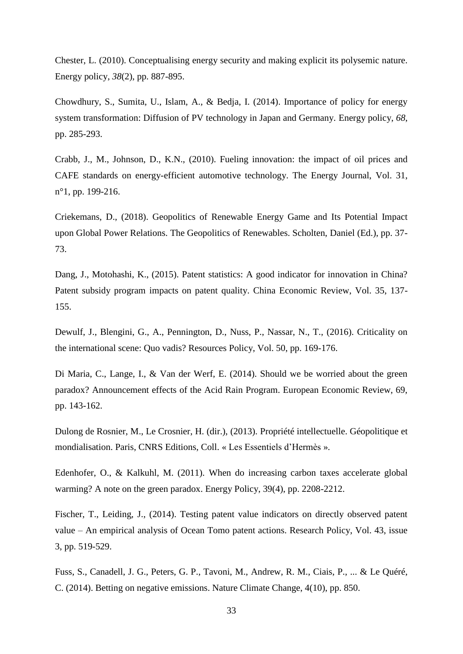Chester, L. (2010). Conceptualising energy security and making explicit its polysemic nature. Energy policy, *38*(2), pp. 887-895.

Chowdhury, S., Sumita, U., Islam, A., & Bedja, I. (2014). Importance of policy for energy system transformation: Diffusion of PV technology in Japan and Germany. Energy policy, *68*, pp. 285-293.

Crabb, J., M., Johnson, D., K.N., (2010). Fueling innovation: the impact of oil prices and CAFE standards on energy-efficient automotive technology. The Energy Journal, Vol. 31, n°1, pp. 199-216.

Criekemans, D., (2018). Geopolitics of Renewable Energy Game and Its Potential Impact upon Global Power Relations. The Geopolitics of Renewables. Scholten, Daniel (Ed.), pp. 37- 73.

Dang, J., Motohashi, K., (2015). Patent statistics: A good indicator for innovation in China? Patent subsidy program impacts on patent quality. China Economic Review, Vol. 35, 137- 155.

Dewulf, J., Blengini, G., A., Pennington, D., Nuss, P., Nassar, N., T., (2016). Criticality on the international scene: Quo vadis? Resources Policy, Vol. 50, pp. 169-176.

Di Maria, C., Lange, I., & Van der Werf, E. (2014). Should we be worried about the green paradox? Announcement effects of the Acid Rain Program. European Economic Review, 69, pp. 143-162.

Dulong de Rosnier, M., Le Crosnier, H. (dir.), (2013). Propriété intellectuelle. Géopolitique et mondialisation. Paris, CNRS Editions, Coll. « Les Essentiels d'Hermès ».

Edenhofer, O., & Kalkuhl, M. (2011). When do increasing carbon taxes accelerate global warming? A note on the green paradox. Energy Policy, 39(4), pp. 2208-2212.

Fischer, T., Leiding, J., (2014). Testing patent value indicators on directly observed patent value – An empirical analysis of Ocean Tomo patent actions. Research Policy, Vol. 43, issue 3, pp. 519-529.

Fuss, S., Canadell, J. G., Peters, G. P., Tavoni, M., Andrew, R. M., Ciais, P., ... & Le Quéré, C. (2014). Betting on negative emissions. Nature Climate Change, 4(10), pp. 850.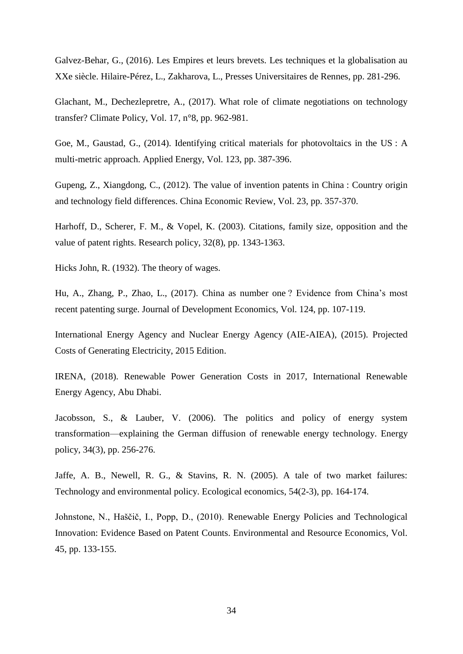Galvez-Behar, G., (2016). Les Empires et leurs brevets. Les techniques et la globalisation au XXe siècle. Hilaire-Pérez, L., Zakharova, L., Presses Universitaires de Rennes, pp. 281-296.

Glachant, M., Dechezlepretre, A., (2017). What role of climate negotiations on technology transfer? Climate Policy, Vol. 17, n°8, pp. 962-981.

Goe, M., Gaustad, G., (2014). Identifying critical materials for photovoltaics in the US : A multi-metric approach. Applied Energy, Vol. 123, pp. 387-396.

Gupeng, Z., Xiangdong, C., (2012). The value of invention patents in China : Country origin and technology field differences. China Economic Review, Vol. 23, pp. 357-370.

Harhoff, D., Scherer, F. M., & Vopel, K. (2003). Citations, family size, opposition and the value of patent rights. Research policy, 32(8), pp. 1343-1363.

Hicks John, R. (1932). The theory of wages.

Hu, A., Zhang, P., Zhao, L., (2017). China as number one ? Evidence from China's most recent patenting surge. Journal of Development Economics, Vol. 124, pp. 107-119.

International Energy Agency and Nuclear Energy Agency (AIE-AIEA), (2015). Projected Costs of Generating Electricity, 2015 Edition.

IRENA, (2018). Renewable Power Generation Costs in 2017, International Renewable Energy Agency, Abu Dhabi.

Jacobsson, S., & Lauber, V. (2006). The politics and policy of energy system transformation—explaining the German diffusion of renewable energy technology. Energy policy, 34(3), pp. 256-276.

Jaffe, A. B., Newell, R. G., & Stavins, R. N. (2005). A tale of two market failures: Technology and environmental policy. Ecological economics, 54(2-3), pp. 164-174.

Johnstone, N., Haščič, I., Popp, D., (2010). Renewable Energy Policies and Technological Innovation: Evidence Based on Patent Counts. Environmental and Resource Economics, Vol. 45, pp. 133-155.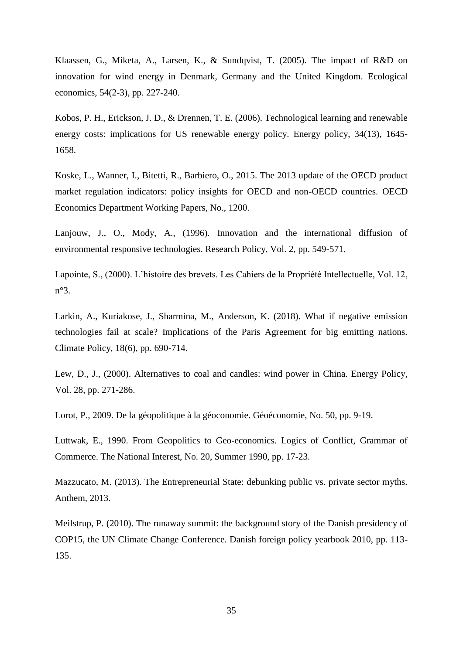Klaassen, G., Miketa, A., Larsen, K., & Sundqvist, T. (2005). The impact of R&D on innovation for wind energy in Denmark, Germany and the United Kingdom. Ecological economics, 54(2-3), pp. 227-240.

Kobos, P. H., Erickson, J. D., & Drennen, T. E. (2006). Technological learning and renewable energy costs: implications for US renewable energy policy. Energy policy, 34(13), 1645- 1658.

Koske, L., Wanner, I., Bitetti, R., Barbiero, O., 2015. The 2013 update of the OECD product market regulation indicators: policy insights for OECD and non-OECD countries. OECD Economics Department Working Papers, No., 1200.

Lanjouw, J., O., Mody, A., (1996). Innovation and the international diffusion of environmental responsive technologies. Research Policy, Vol. 2, pp. 549-571.

Lapointe, S., (2000). L'histoire des brevets. Les Cahiers de la Propriété Intellectuelle, Vol. 12, n°3.

Larkin, A., Kuriakose, J., Sharmina, M., Anderson, K. (2018). What if negative emission technologies fail at scale? Implications of the Paris Agreement for big emitting nations. Climate Policy, 18(6), pp. 690-714.

Lew, D., J., (2000). Alternatives to coal and candles: wind power in China. Energy Policy, Vol. 28, pp. 271-286.

Lorot, P., 2009. De la géopolitique à la géoconomie. Géoéconomie, No. 50, pp. 9-19.

Luttwak, E., 1990. From Geopolitics to Geo-economics. Logics of Conflict, Grammar of Commerce. The National Interest, No. 20, Summer 1990, pp. 17-23.

Mazzucato, M. (2013). The Entrepreneurial State: debunking public vs. private sector myths. Anthem, 2013.

Meilstrup, P. (2010). The runaway summit: the background story of the Danish presidency of COP15, the UN Climate Change Conference. Danish foreign policy yearbook 2010, pp. 113- 135.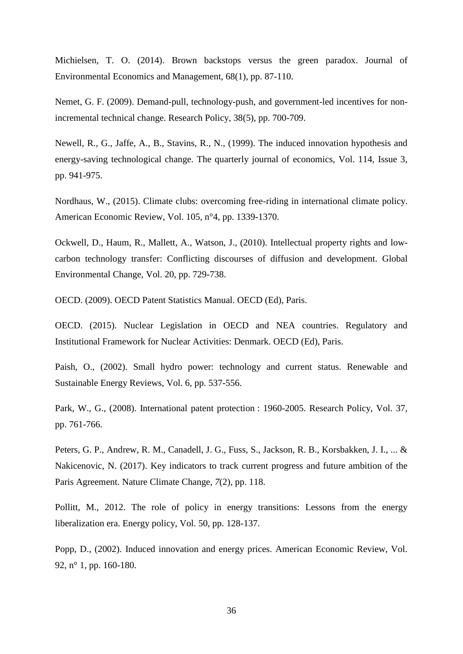Michielsen, T. O. (2014). Brown backstops versus the green paradox. Journal of Environmental Economics and Management, 68(1), pp. 87-110.

Nemet, G. F. (2009). Demand-pull, technology-push, and government-led incentives for nonincremental technical change. Research Policy, 38(5), pp. 700-709.

Newell, R., G., Jaffe, A., B., Stavins, R., N., (1999). The induced innovation hypothesis and energy-saving technological change. The quarterly journal of economics, Vol. 114, Issue 3, pp. 941-975.

Nordhaus, W., (2015). Climate clubs: overcoming free-riding in international climate policy. American Economic Review, Vol. 105, n°4, pp. 1339-1370.

Ockwell, D., Haum, R., Mallett, A., Watson, J., (2010). Intellectual property rights and lowcarbon technology transfer: Conflicting discourses of diffusion and development. Global Environmental Change, Vol. 20, pp. 729-738.

OECD. (2009). OECD Patent Statistics Manual. OECD (Ed), Paris.

OECD. (2015). Nuclear Legislation in OECD and NEA countries. Regulatory and Institutional Framework for Nuclear Activities: Denmark. OECD (Ed), Paris.

Paish, O., (2002). Small hydro power: technology and current status. Renewable and Sustainable Energy Reviews, Vol. 6, pp. 537-556.

Park, W., G., (2008). International patent protection : 1960-2005. Research Policy, Vol. 37, pp. 761-766.

Peters, G. P., Andrew, R. M., Canadell, J. G., Fuss, S., Jackson, R. B., Korsbakken, J. I., ... & Nakicenovic, N. (2017). Key indicators to track current progress and future ambition of the Paris Agreement. Nature Climate Change, *7*(2), pp. 118.

Pollitt, M., 2012. The role of policy in energy transitions: Lessons from the energy liberalization era. Energy policy, Vol. 50, pp. 128-137.

Popp, D., (2002). Induced innovation and energy prices. American Economic Review, Vol. 92, n° 1, pp. 160-180.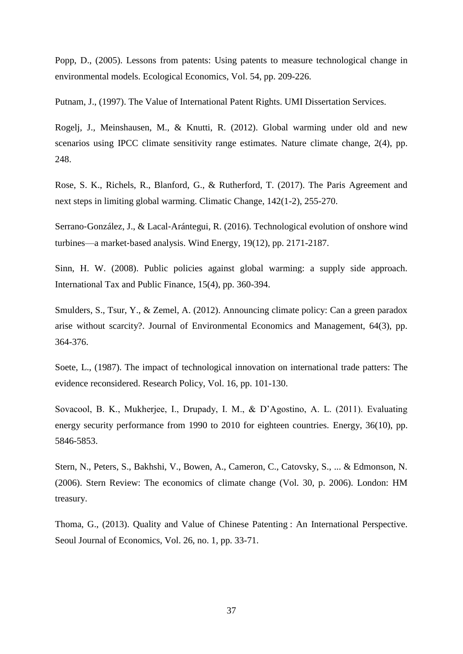Popp, D., (2005). Lessons from patents: Using patents to measure technological change in environmental models. Ecological Economics, Vol. 54, pp. 209-226.

Putnam, J., (1997). The Value of International Patent Rights. UMI Dissertation Services.

Rogelj, J., Meinshausen, M., & Knutti, R. (2012). Global warming under old and new scenarios using IPCC climate sensitivity range estimates. Nature climate change, 2(4), pp. 248.

Rose, S. K., Richels, R., Blanford, G., & Rutherford, T. (2017). The Paris Agreement and next steps in limiting global warming. Climatic Change, 142(1-2), 255-270.

Serrano‐González, J., & Lacal‐Arántegui, R. (2016). Technological evolution of onshore wind turbines—a market‐based analysis. Wind Energy, 19(12), pp. 2171-2187.

Sinn, H. W. (2008). Public policies against global warming: a supply side approach. International Tax and Public Finance, 15(4), pp. 360-394.

Smulders, S., Tsur, Y., & Zemel, A. (2012). Announcing climate policy: Can a green paradox arise without scarcity?. Journal of Environmental Economics and Management, 64(3), pp. 364-376.

Soete, L., (1987). The impact of technological innovation on international trade patters: The evidence reconsidered. Research Policy, Vol. 16, pp. 101-130.

Sovacool, B. K., Mukherjee, I., Drupady, I. M., & D'Agostino, A. L. (2011). Evaluating energy security performance from 1990 to 2010 for eighteen countries. Energy, 36(10), pp. 5846-5853.

Stern, N., Peters, S., Bakhshi, V., Bowen, A., Cameron, C., Catovsky, S., ... & Edmonson, N. (2006). Stern Review: The economics of climate change (Vol. 30, p. 2006). London: HM treasury.

Thoma, G., (2013). Quality and Value of Chinese Patenting : An International Perspective. Seoul Journal of Economics, Vol. 26, no. 1, pp. 33-71.